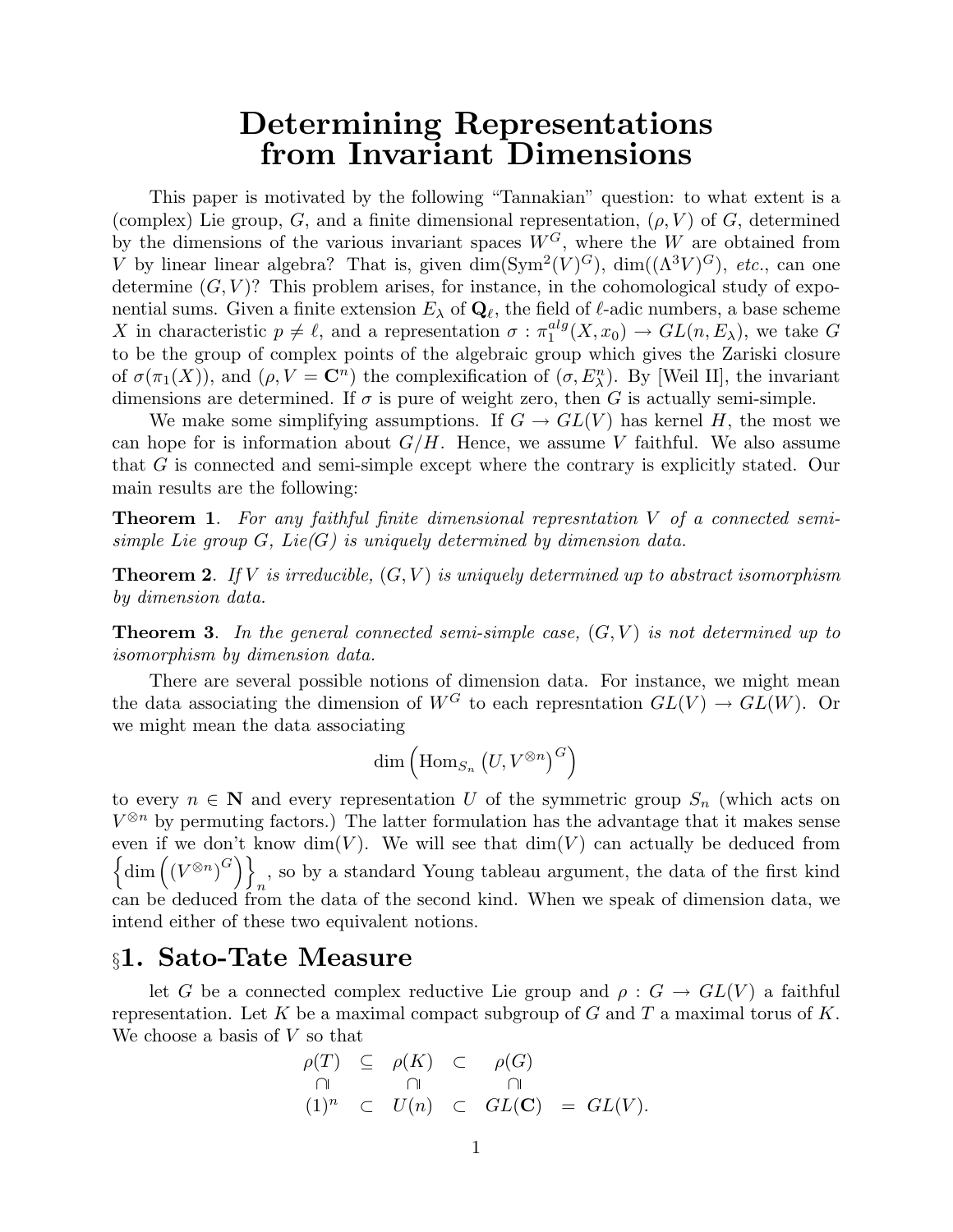# Determining Representations from Invariant Dimensions

This paper is motivated by the following "Tannakian" question: to what extent is a (complex) Lie group, G, and a finite dimensional representation,  $(\rho, V)$  of G, determined by the dimensions of the various invariant spaces  $W^G$ , where the W are obtained from V by linear linear algebra? That is, given  $\dim(Sym^2(V)^G)$ ,  $\dim((\Lambda^3 V)^G)$ , etc., can one determine  $(G, V)$ ? This problem arises, for instance, in the cohomological study of exponential sums. Given a finite extension  $E_\lambda$  of  $\mathbf{Q}_\ell$ , the field of  $\ell$ -adic numbers, a base scheme X in characteristic  $p \neq \ell$ , and a representation  $\sigma : \pi_1^{alg}$  $_{1}^{aug}(X, x_0) \rightarrow GL(n, E_{\lambda}),$  we take G to be the group of complex points of the algebraic group which gives the Zariski closure of  $\sigma(\pi_1(X))$ , and  $(\rho, V = \mathbb{C}^n)$  the complexification of  $(\sigma, E_{\lambda}^n)$ . By [Weil II], the invariant dimensions are determined. If  $\sigma$  is pure of weight zero, then G is actually semi-simple.

We make some simplifying assumptions. If  $G \to GL(V)$  has kernel H, the most we can hope for is information about  $G/H$ . Hence, we assume V faithful. We also assume that G is connected and semi-simple except where the contrary is explicitly stated. Our main results are the following:

**Theorem 1.** For any faithful finite dimensional represntation  $V$  of a connected semisimple Lie group  $G$ , Lie $(G)$  is uniquely determined by dimension data.

**Theorem 2.** If V is irreducible,  $(G, V)$  is uniquely determined up to abstract isomorphism by dimension data.

**Theorem 3.** In the general connected semi-simple case,  $(G, V)$  is not determined up to isomorphism by dimension data.

There are several possible notions of dimension data. For instance, we might mean the data associating the dimension of  $W^G$  to each represntation  $GL(V) \to GL(W)$ . Or we might mean the data associating

$$
\dim\left(\mathrm{Hom}_{S_n}\left(U,V^{\otimes n}\right)^G\right)
$$

to every  $n \in \mathbb{N}$  and every representation U of the symmetric group  $S_n$  (which acts on  $V^{\otimes n}$  by permuting factors.) The latter formulation has the advantage that it makes sense even if we don't know  $\dim(V)$ . We will see that  $\dim(V)$  can actually be deduced from  $\left\{\dim \left((V^{\otimes n})^G\right)\right\}$  $n_n$ , so by a standard Young tableau argument, the data of the first kind can be deduced from the data of the second kind. When we speak of dimension data, we intend either of these two equivalent notions.

### §1. Sato-Tate Measure

let G be a connected complex reductive Lie group and  $\rho: G \to GL(V)$  a faithful representation. Let K be a maximal compact subgroup of G and T a maximal torus of K. We choose a basis of  $V$  so that

$$
\rho(T) \subseteq \rho(K) \subset \rho(G)
$$
  
\n
$$
\cap \qquad \cap \qquad \cap
$$
  
\n
$$
(1)^n \subset U(n) \subset GL(\mathbf{C}) = GL(V).
$$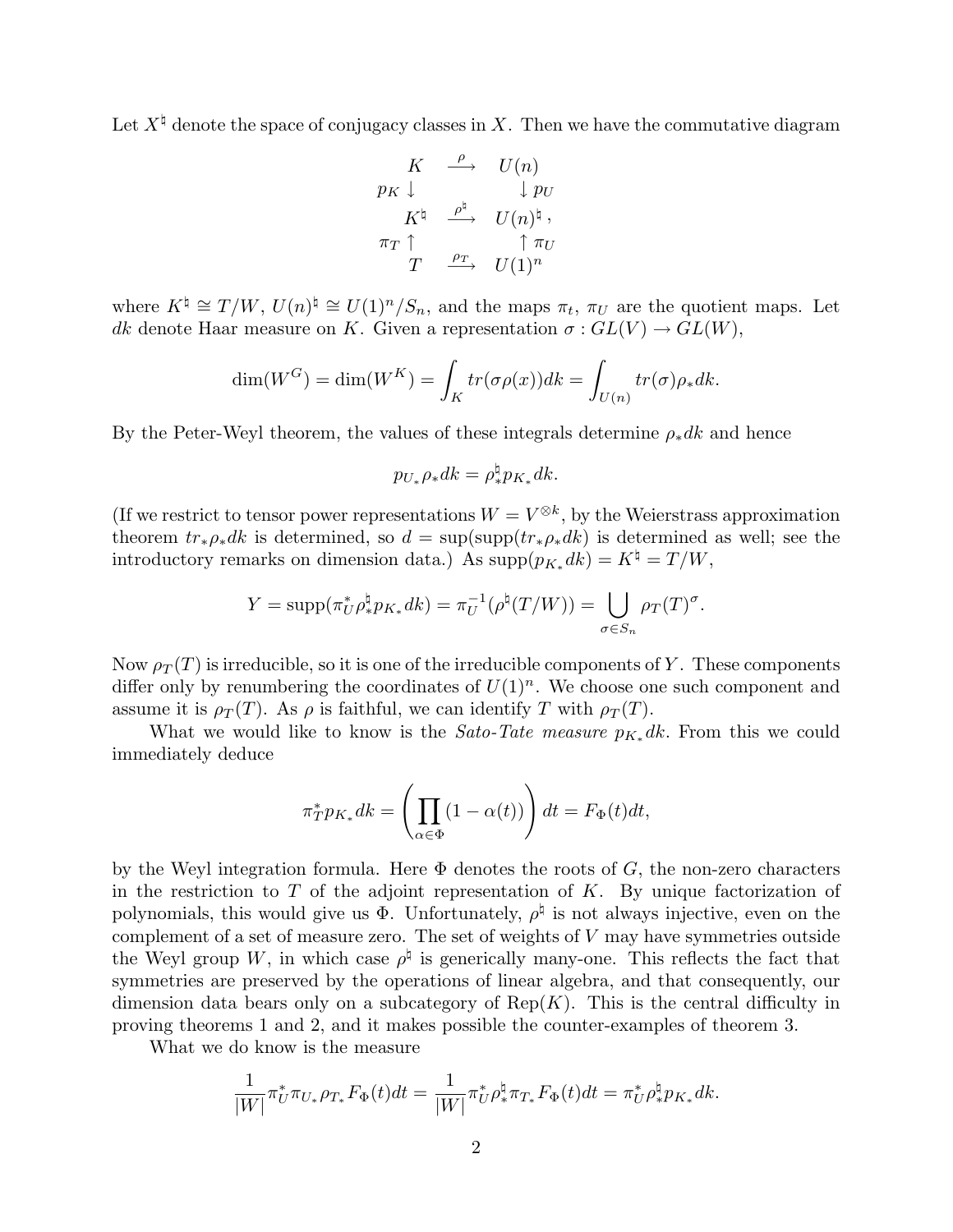Let  $X^{\natural}$  denote the space of conjugacy classes in X. Then we have the commutative diagram

$$
\begin{array}{ccc}\nK & \stackrel{\rho}{\longrightarrow} & U(n) \\
p_K \downarrow & & \downarrow p_U \\
K^{\natural} & \stackrel{\rho^{\natural}}{\longrightarrow} & U(n)^{\natural} \,, \\
\pi_T \uparrow & & \uparrow \pi_U \\
T & \stackrel{\rho_T}{\longrightarrow} & U(1)^n\n\end{array}
$$

where  $K^{\natural} \cong T / W$ ,  $U(n)^{\natural} \cong U(1)^n / S_n$ , and the maps  $\pi_t$ ,  $\pi_U$  are the quotient maps. Let dk denote Haar measure on K. Given a representation  $\sigma : GL(V) \to GL(W)$ ,

$$
\dim(W^G) = \dim(W^K) = \int_K tr(\sigma \rho(x)) dk = \int_{U(n)} tr(\sigma) \rho_* dk.
$$

By the Peter-Weyl theorem, the values of these integrals determine  $\rho_* d k$  and hence

$$
p_{U_*}\rho_* dk = \rho_*^{\natural} p_{K_*} dk.
$$

(If we restrict to tensor power representations  $W = V^{\otimes k}$ , by the Weierstrass approximation theorem  $tr_{\ast}\rho_{\ast}dk$  is determined, so  $d = \sup(\sup(tr_{\ast}\rho_{\ast}dk)$  is determined as well; see the introductory remarks on dimension data.) As  $\text{supp}(p_{K_*}dk) = K^{\natural} = T / W$ ,

$$
Y = \text{supp}(\pi_U^* \rho_*^{\natural} p_{K_*} dk) = \pi_U^{-1}(\rho^{\natural}(T/W)) = \bigcup_{\sigma \in S_n} \rho_T(T)^{\sigma}.
$$

Now  $\rho_T(T)$  is irreducible, so it is one of the irreducible components of Y. These components differ only by renumbering the coordinates of  $U(1)^n$ . We choose one such component and assume it is  $\rho_T(T)$ . As  $\rho$  is faithful, we can identify T with  $\rho_T(T)$ .

What we would like to know is the *Sato-Tate measure*  $p_{K_*} d_k$ . From this we could immediately deduce

$$
\pi^*_{T} p_{K_*} dk = \left( \prod_{\alpha \in \Phi} (1 - \alpha(t)) \right) dt = F_{\Phi}(t) dt,
$$

by the Weyl integration formula. Here  $\Phi$  denotes the roots of G, the non-zero characters in the restriction to  $T$  of the adjoint representation of  $K$ . By unique factorization of polynomials, this would give us  $\Phi$ . Unfortunately,  $\rho^{\sharp}$  is not always injective, even on the complement of a set of measure zero. The set of weights of  $V$  may have symmetries outside the Weyl group W, in which case  $\rho^{\natural}$  is generically many-one. This reflects the fact that symmetries are preserved by the operations of linear algebra, and that consequently, our dimension data bears only on a subcategory of  $\text{Rep}(K)$ . This is the central difficulty in proving theorems 1 and 2, and it makes possible the counter-examples of theorem 3.

What we do know is the measure

$$
\frac{1}{|W|}\pi_U^*\pi_{U_*}\rho_{T_*}F_{\Phi}(t)dt=\frac{1}{|W|}\pi_U^*\rho_*^\natural\pi_{T_*}F_{\Phi}(t)dt=\pi_U^*\rho_*^\natural p_{K_*}dk.
$$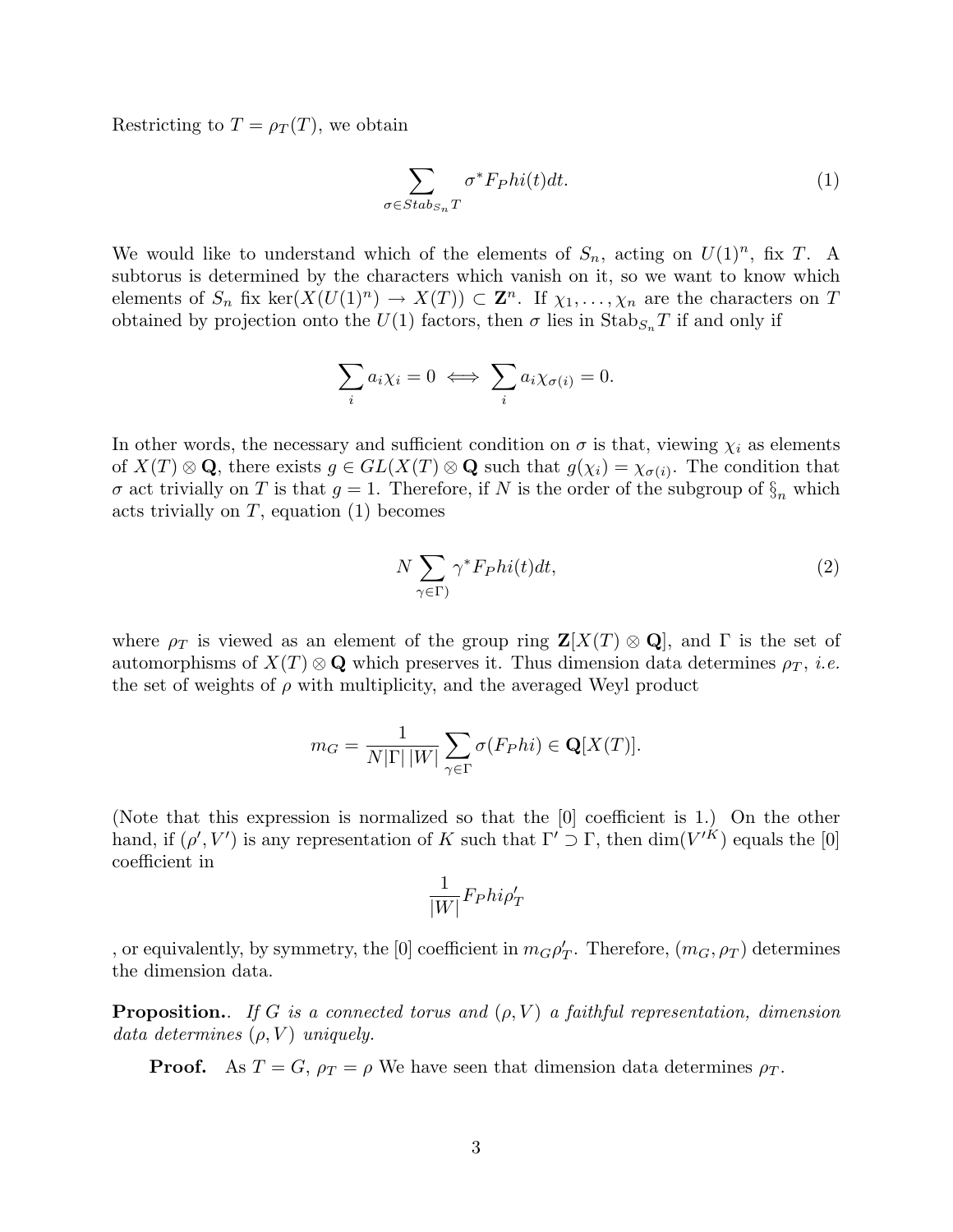Restricting to  $T = \rho_T(T)$ , we obtain

$$
\sum_{\sigma \in Stab_{S_n}T} \sigma^* F_{P}hi(t)dt.
$$
 (1)

We would like to understand which of the elements of  $S_n$ , acting on  $U(1)^n$ , fix T. A subtorus is determined by the characters which vanish on it, so we want to know which elements of  $S_n$  fix ker $(X(U(1)^n) \to X(T)) \subset \mathbb{Z}^n$ . If  $\chi_1, \ldots, \chi_n$  are the characters on T obtained by projection onto the  $U(1)$  factors, then  $\sigma$  lies in  $\text{Stab}_{S_n}T$  if and only if

$$
\sum_i a_i \chi_i = 0 \iff \sum_i a_i \chi_{\sigma(i)} = 0.
$$

In other words, the necessary and sufficient condition on  $\sigma$  is that, viewing  $\chi_i$  as elements of  $X(T) \otimes \mathbf{Q}$ , there exists  $g \in GL(X(T) \otimes \mathbf{Q}$  such that  $g(\chi_i) = \chi_{\sigma(i)}$ . The condition that  $\sigma$  act trivially on T is that  $g = 1$ . Therefore, if N is the order of the subgroup of  $\S_n$  which acts trivially on  $T$ , equation (1) becomes

$$
N\sum_{\gamma \in \Gamma} \gamma^* F_P h i(t) dt,\tag{2}
$$

where  $\rho_T$  is viewed as an element of the group ring  $\mathbf{Z}[X(T) \otimes \mathbf{Q}]$ , and  $\Gamma$  is the set of automorphisms of  $X(T) \otimes \mathbf{Q}$  which preserves it. Thus dimension data determines  $\rho_T$ , *i.e.* the set of weights of  $\rho$  with multiplicity, and the averaged Weyl product

$$
m_G = \frac{1}{N|\Gamma| \, |W|} \sum_{\gamma \in \Gamma} \sigma(F_P h i) \in \mathbf{Q}[X(T)].
$$

(Note that this expression is normalized so that the [0] coefficient is 1.) On the other hand, if  $(\rho', V')$  is any representation of K such that  $\Gamma' \supset \Gamma$ , then  $\dim(V'^K)$  equals the [0] coefficient in

$$
\frac{1}{|W|}F_Phi\rho'_T
$$

, or equivalently, by symmetry, the [0] coefficient in  $m_G \rho'_T$ . Therefore,  $(m_G, \rho_T)$  determines the dimension data.

**Proposition.**. If G is a connected torus and  $(\rho, V)$  a faithful representation, dimension data determines  $(\rho, V)$  uniquely.

**Proof.** As  $T = G$ ,  $\rho_T = \rho$  We have seen that dimension data determines  $\rho_T$ .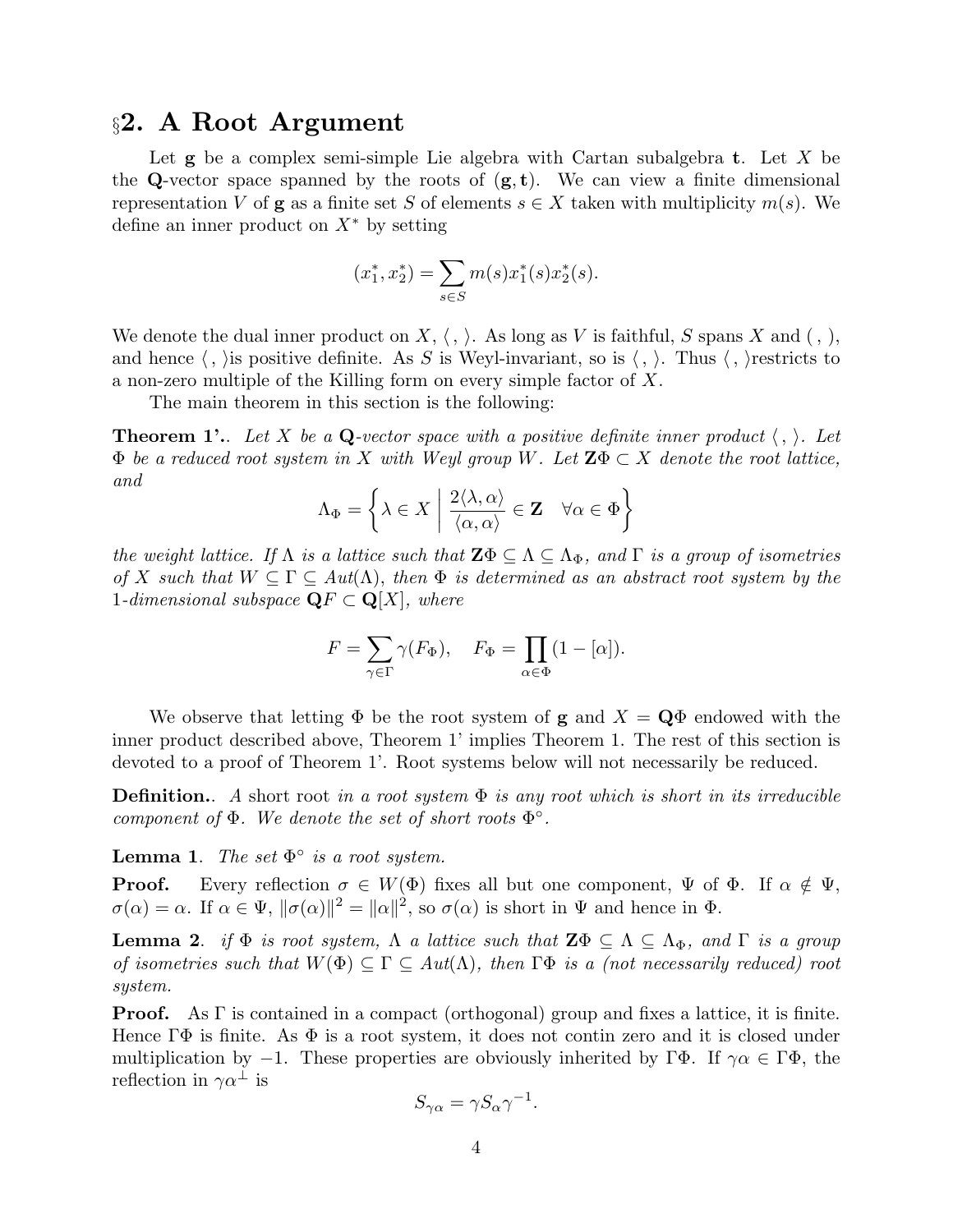### §2. A Root Argument

Let  $g$  be a complex semi-simple Lie algebra with Cartan subalgebra t. Let X be the Q-vector space spanned by the roots of  $(g, t)$ . We can view a finite dimensional representation V of **g** as a finite set S of elements  $s \in X$  taken with multiplicity  $m(s)$ . We define an inner product on  $X^*$  by setting

$$
(x_1^*, x_2^*) = \sum_{s \in S} m(s) x_1^*(s) x_2^*(s).
$$

We denote the dual inner product on  $X, \langle , \rangle$ . As long as V is faithful, S spans X and  $( , ),$ and hence  $\langle , \rangle$  is positive definite. As S is Weyl-invariant, so is  $\langle , \rangle$ . Thus  $\langle , \rangle$  restricts to a non-zero multiple of the Killing form on every simple factor of X.

The main theorem in this section is the following:

**Theorem 1'.**. Let X be a Q-vector space with a positive definite inner product  $\langle , \rangle$ . Let  $\Phi$  be a reduced root system in X with Weyl group W. Let  $\mathbf{Z}\Phi \subset X$  denote the root lattice, and

$$
\Lambda_{\Phi} = \left\{ \lambda \in X \; \middle| \; \frac{2\langle \lambda, \alpha \rangle}{\langle \alpha, \alpha \rangle} \in \mathbf{Z} \quad \forall \alpha \in \Phi \right\}
$$

the weight lattice. If  $\Lambda$  is a lattice such that  $\mathbf{Z}\Phi \subseteq \Lambda \subseteq \Lambda_{\Phi}$ , and  $\Gamma$  is a group of isometries of X such that  $W \subseteq \Gamma \subseteq Aut(\Lambda)$ , then  $\Phi$  is determined as an abstract root system by the 1-dimensional subspace  $\mathbf{Q}F \subset \mathbf{Q}[X]$ , where

$$
F = \sum_{\gamma \in \Gamma} \gamma(F_{\Phi}), \quad F_{\Phi} = \prod_{\alpha \in \Phi} (1 - [\alpha]).
$$

We observe that letting  $\Phi$  be the root system of **g** and  $X = \mathbf{Q}\Phi$  endowed with the inner product described above, Theorem 1' implies Theorem 1. The rest of this section is devoted to a proof of Theorem 1'. Root systems below will not necessarily be reduced.

**Definition.**. A short root in a root system  $\Phi$  is any root which is short in its irreducible component of  $\Phi$ . We denote the set of short roots  $\Phi^{\circ}$ .

**Lemma 1.** The set  $\Phi^{\circ}$  is a root system.

**Proof.** Every reflection  $\sigma \in W(\Phi)$  fixes all but one component,  $\Psi$  of  $\Phi$ . If  $\alpha \notin \Psi$ ,  $\sigma(\alpha) = \alpha$ . If  $\alpha \in \Psi$ ,  $\|\sigma(\alpha)\|^2 = \|\alpha\|^2$ , so  $\sigma(\alpha)$  is short in  $\Psi$  and hence in  $\Phi$ .

**Lemma 2.** if  $\Phi$  is root system,  $\Lambda$  a lattice such that  $\mathbf{Z}\Phi \subseteq \Lambda \subseteq \Lambda_{\Phi}$ , and  $\Gamma$  is a group of isometries such that  $W(\Phi) \subseteq \Gamma \subseteq Aut(\Lambda)$ , then  $\Gamma \Phi$  is a (not necessarily reduced) root system.

Proof. As Γ is contained in a compact (orthogonal) group and fixes a lattice, it is finite. Hence  $\Gamma\Phi$  is finite. As  $\Phi$  is a root system, it does not contin zero and it is closed under multiplication by  $-1$ . These properties are obviously inherited by ΓΦ. If  $\gamma \alpha \in \Gamma \Phi$ , the reflection in  $\gamma \alpha^{\perp}$  is

$$
S_{\gamma\alpha} = \gamma S_{\alpha} \gamma^{-1}.
$$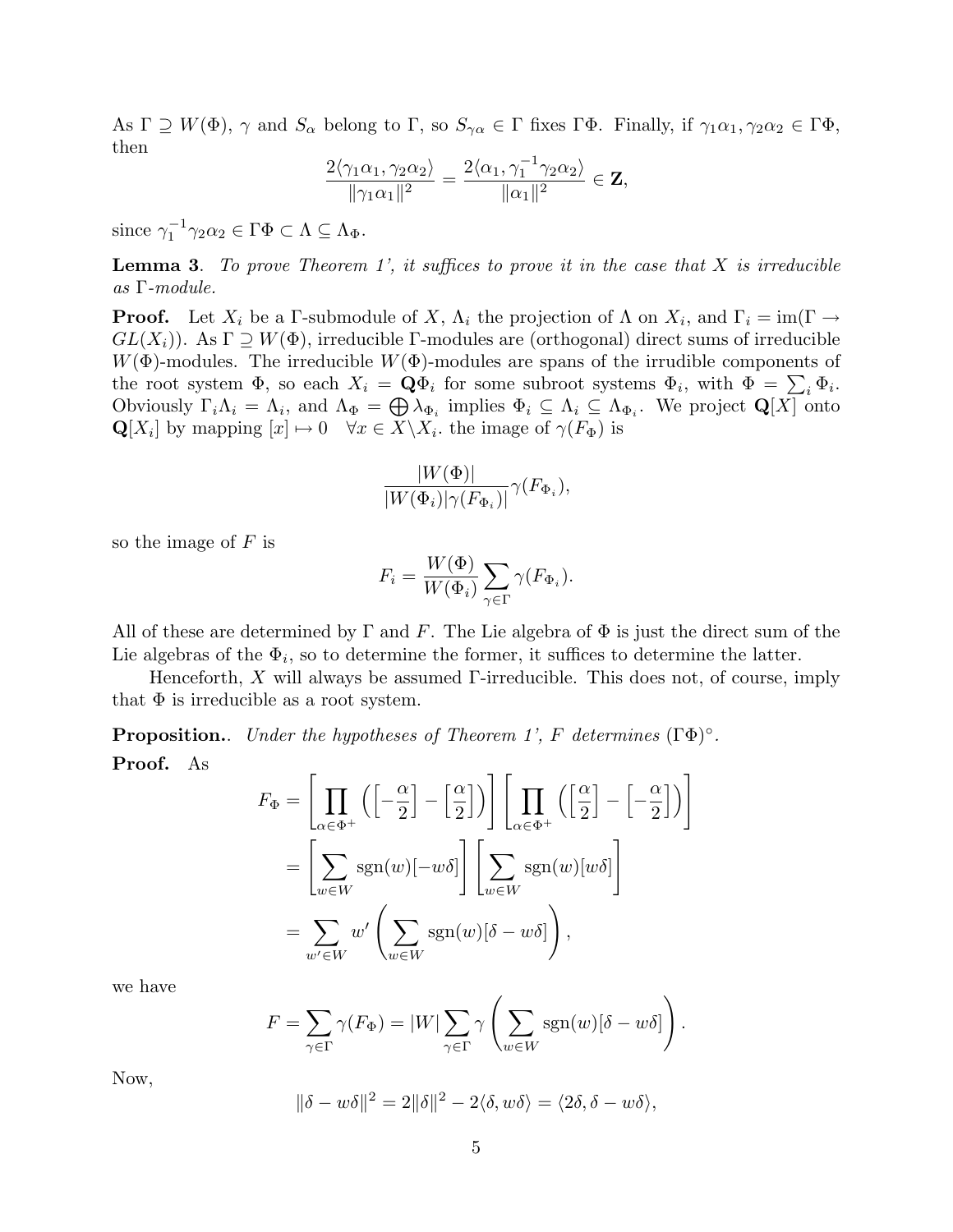As  $\Gamma \supseteq W(\Phi)$ ,  $\gamma$  and  $S_{\alpha}$  belong to  $\Gamma$ , so  $S_{\gamma\alpha} \in \Gamma$  fixes  $\Gamma\Phi$ . Finally, if  $\gamma_1\alpha_1, \gamma_2\alpha_2 \in \Gamma\Phi$ , then

$$
\frac{2\langle \gamma_1\alpha_1, \gamma_2\alpha_2 \rangle}{\|\gamma_1\alpha_1\|^2} = \frac{2\langle \alpha_1, \gamma_1^{-1}\gamma_2\alpha_2 \rangle}{\|\alpha_1\|^2} \in \mathbf{Z},
$$

since  $\gamma_1^{-1}$  $\overline{\gamma}_1^{-1} \gamma_2 \alpha_2 \in \Gamma \Phi \subset \Lambda \subseteq \Lambda_{\Phi}.$ 

**Lemma 3.** To prove Theorem 1', it suffices to prove it in the case that  $X$  is irreducible as Γ-module.

**Proof.** Let  $X_i$  be a Γ-submodule of X,  $\Lambda_i$  the projection of  $\Lambda$  on  $X_i$ , and  $\Gamma_i = \text{im}(\Gamma \to \Gamma_i)$  $GL(X_i)$ ). As  $\Gamma \supseteq W(\Phi)$ , irreducible Γ-modules are (orthogonal) direct sums of irreducible  $W(\Phi)$ -modules. The irreducible  $W(\Phi)$ -modules are spans of the irrudible components of the root system  $\Phi$ , so each  $X_i = \mathbf{Q}\Phi_i$  for some subroot systems  $\Phi_i$ , with  $\Phi = \sum_i \Phi_i$ . Obviously  $\Gamma_i \Lambda_i = \Lambda_i$ , and  $\Lambda_{\Phi} = \bigoplus \lambda_{\Phi_i}$  implies  $\Phi_i \subseteq \Lambda_i \subseteq \Lambda_{\Phi_i}$ . We project  $\mathbf{Q}[X]$  onto  $\mathbf{Q}[X_i]$  by mapping  $[x] \mapsto 0 \quad \forall x \in X \backslash X_i$ , the image of  $\gamma(F_{\Phi})$  is

$$
\frac{|W(\Phi)|}{|W(\Phi_i)|\gamma(F_{\Phi_i})|}\gamma(F_{\Phi_i}),
$$

so the image of  $F$  is

$$
F_i = \frac{W(\Phi)}{W(\Phi_i)} \sum_{\gamma \in \Gamma} \gamma(F_{\Phi_i}).
$$

All of these are determined by  $\Gamma$  and  $F$ . The Lie algebra of  $\Phi$  is just the direct sum of the Lie algebras of the  $\Phi_i$ , so to determine the former, it suffices to determine the latter.

Henceforth, X will always be assumed  $\Gamma$ -irreducible. This does not, of course, imply that  $\Phi$  is irreducible as a root system.

**Proposition.** Under the hypotheses of Theorem 1', F determines  $(T\Phi)^\circ$ . Proof. As

$$
F_{\Phi} = \left[ \prod_{\alpha \in \Phi^{+}} \left( \left[ -\frac{\alpha}{2} \right] - \left[ \frac{\alpha}{2} \right] \right) \right] \left[ \prod_{\alpha \in \Phi^{+}} \left( \left[ \frac{\alpha}{2} \right] - \left[ -\frac{\alpha}{2} \right] \right) \right]
$$
  
= 
$$
\left[ \sum_{w \in W} \text{sgn}(w) [-w\delta] \right] \left[ \sum_{w \in W} \text{sgn}(w) [w\delta] \right]
$$
  
= 
$$
\sum_{w' \in W} w' \left( \sum_{w \in W} \text{sgn}(w) [\delta - w\delta] \right),
$$

we have

$$
F = \sum_{\gamma \in \Gamma} \gamma(F_{\Phi}) = |W| \sum_{\gamma \in \Gamma} \gamma \left( \sum_{w \in W} \text{sgn}(w) [\delta - w \delta] \right).
$$

Now,

$$
\|\delta - w\delta\|^2 = 2\|\delta\|^2 - 2\langle \delta, w\delta \rangle = \langle 2\delta, \delta - w\delta \rangle,
$$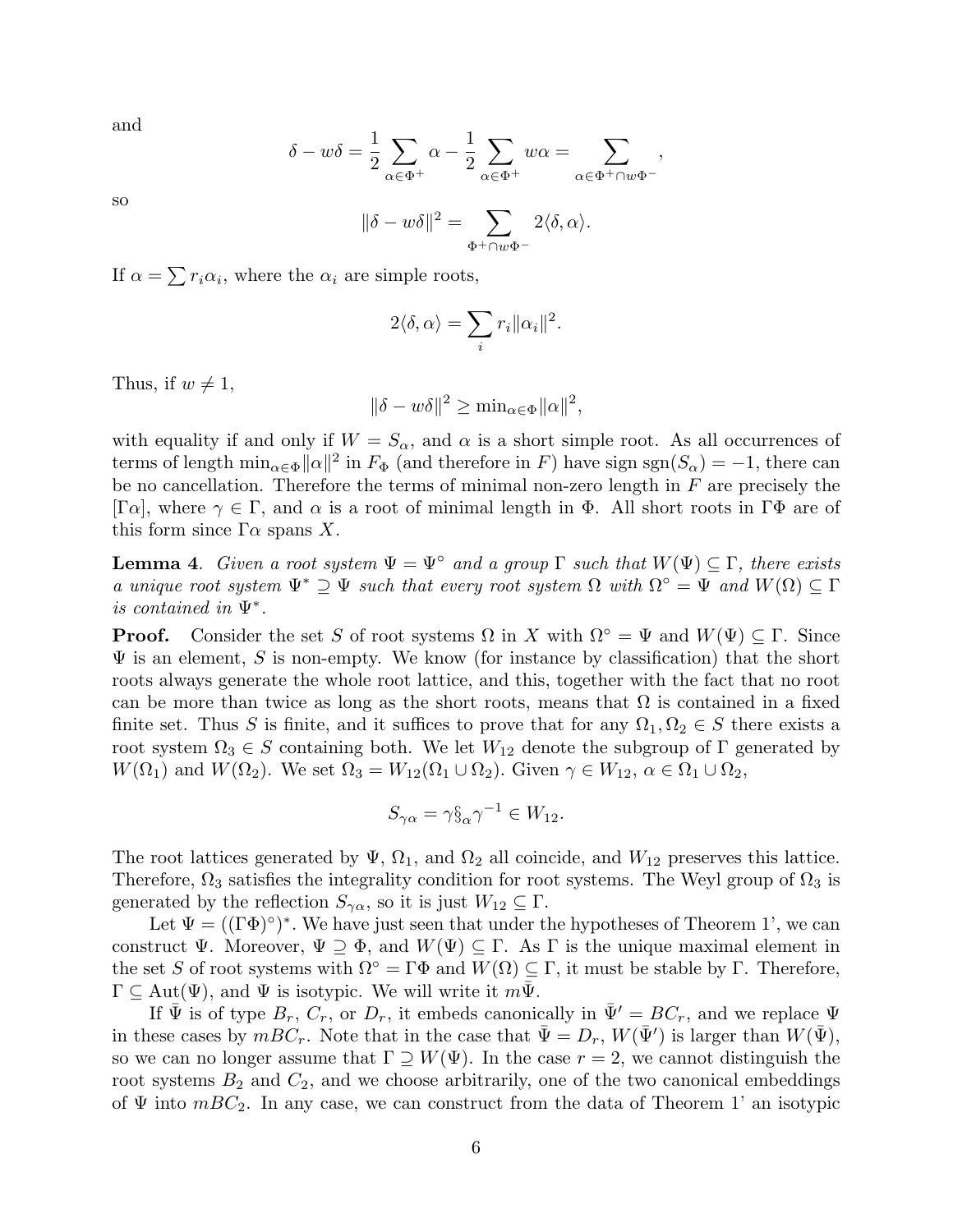and

$$
\delta - w\delta = \frac{1}{2} \sum_{\alpha \in \Phi^+} \alpha - \frac{1}{2} \sum_{\alpha \in \Phi^+} w\alpha = \sum_{\alpha \in \Phi^+ \cap w\Phi^-},
$$

so

$$
\|\delta-w\delta\|^2=\sum_{\Phi^+\cap w\Phi^-}2\langle\delta,\alpha\rangle.
$$

If  $\alpha = \sum r_i \alpha_i$ , where the  $\alpha_i$  are simple roots,

$$
2\langle \delta, \alpha \rangle = \sum_i r_i ||\alpha_i||^2.
$$

Thus, if  $w \neq 1$ ,

$$
\|\delta - w\delta\|^2 \ge \min_{\alpha \in \Phi} \|\alpha\|^2,
$$

with equality if and only if  $W = S_{\alpha}$ , and  $\alpha$  is a short simple root. As all occurrences of terms of length  $\min_{\alpha \in \Phi} ||\alpha||^2$  in  $F_{\Phi}$  (and therefore in F) have sign sgn( $S_{\alpha}$ ) = -1, there can be no cancellation. Therefore the terms of minimal non-zero length in  $F$  are precisely the  $[\Gamma \alpha]$ , where  $\gamma \in \Gamma$ , and  $\alpha$  is a root of minimal length in  $\Phi$ . All short roots in  $\Gamma \Phi$  are of this form since  $\Gamma \alpha$  spans X.

**Lemma 4.** Given a root system  $\Psi = \Psi^{\circ}$  and a group  $\Gamma$  such that  $W(\Psi) \subseteq \Gamma$ , there exists a unique root system  $\Psi^* \supseteq \Psi$  such that every root system  $\Omega$  with  $\Omega^{\circ} = \Psi$  and  $W(\Omega) \subseteq \Gamma$ is contained in Ψ<sup>∗</sup> .

**Proof.** Consider the set S of root systems  $\Omega$  in X with  $\Omega^{\circ} = \Psi$  and  $W(\Psi) \subset \Gamma$ . Since  $\Psi$  is an element, S is non-empty. We know (for instance by classification) that the short roots always generate the whole root lattice, and this, together with the fact that no root can be more than twice as long as the short roots, means that  $\Omega$  is contained in a fixed finite set. Thus S is finite, and it suffices to prove that for any  $\Omega_1, \Omega_2 \in S$  there exists a root system  $\Omega_3 \in S$  containing both. We let  $W_{12}$  denote the subgroup of  $\Gamma$  generated by  $W(\Omega_1)$  and  $W(\Omega_2)$ . We set  $\Omega_3 = W_{12}(\Omega_1 \cup \Omega_2)$ . Given  $\gamma \in W_{12}$ ,  $\alpha \in \Omega_1 \cup \Omega_2$ ,

$$
S_{\gamma\alpha} = \gamma \S_\alpha \gamma^{-1} \in W_{12}.
$$

The root lattices generated by  $\Psi$ ,  $\Omega_1$ , and  $\Omega_2$  all coincide, and  $W_{12}$  preserves this lattice. Therefore,  $\Omega_3$  satisfies the integrality condition for root systems. The Weyl group of  $\Omega_3$  is generated by the reflection  $S_{\gamma\alpha}$ , so it is just  $W_{12} \subseteq \Gamma$ .

Let  $\Psi = ((\Gamma \Phi)^{\circ})^*$ . We have just seen that under the hypotheses of Theorem 1', we can construct  $\Psi$ . Moreover,  $\Psi \supseteq \Phi$ , and  $W(\Psi) \subseteq \Gamma$ . As  $\Gamma$  is the unique maximal element in the set S of root systems with  $\Omega^{\circ} = \Gamma \Phi$  and  $W(\Omega) \subseteq \Gamma$ , it must be stable by  $\Gamma$ . Therefore,  $\Gamma \subseteq \text{Aut}(\Psi)$ , and  $\Psi$  is isotypic. We will write it  $m\Psi$ .

If  $\Psi$  is of type  $B_r$ ,  $C_r$ , or  $D_r$ , it embeds canonically in  $\bar{\Psi}' = BC_r$ , and we replace  $\Psi$ in these cases by  $mBC_r$ . Note that in the case that  $\bar{\Psi} = D_r$ ,  $W(\bar{\Psi}')$  is larger than  $W(\bar{\Psi})$ , so we can no longer assume that  $\Gamma \supseteq W(\Psi)$ . In the case  $r = 2$ , we cannot distinguish the root systems  $B_2$  and  $C_2$ , and we choose arbitrarily, one of the two canonical embeddings of  $\Psi$  into  $mBC_2$ . In any case, we can construct from the data of Theorem 1' an isotypic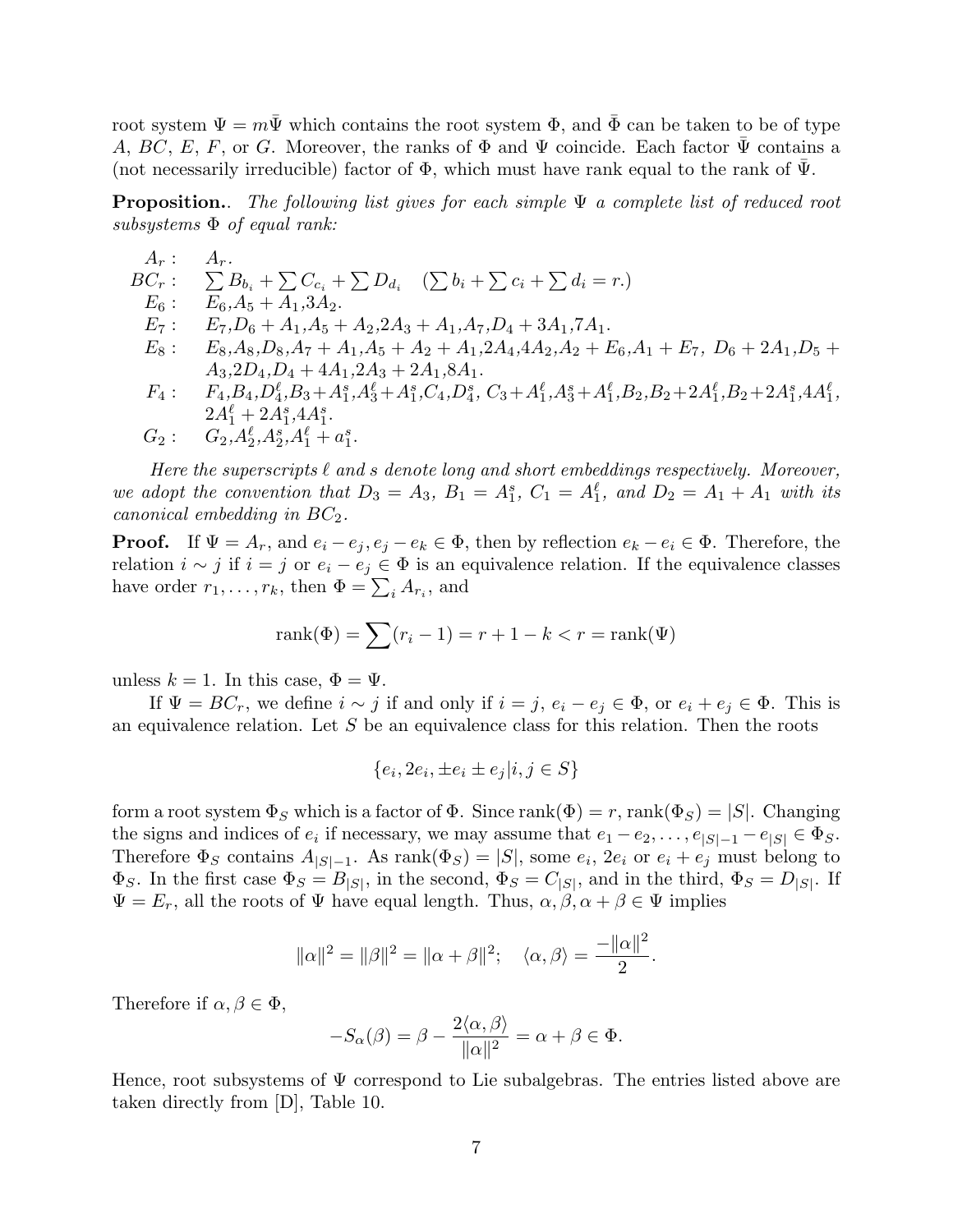root system  $\Psi = m\overline{\Psi}$  which contains the root system  $\Phi$ , and  $\overline{\Phi}$  can be taken to be of type A, BC, E, F, or G. Moreover, the ranks of  $\Phi$  and  $\Psi$  coincide. Each factor  $\Psi$  contains a (not necessarily irreducible) factor of  $\Phi$ , which must have rank equal to the rank of  $\Psi$ .

**Proposition.** The following list gives for each simple  $\Psi$  a complete list of reduced root subsystems  $\Phi$  of equal rank:

$$
A_r: A_r.\nBC_r: \sum_{G_6} B_{b_i} + \sum_{G_6} C_{c_i} + \sum_{G_4} D_{d_i} \quad (\sum b_i + \sum c_i + \sum d_i = r.)\nE_6: E_6, A_5 + A_1, 3A_2.\nE_7: E_7, D_6 + A_1, A_5 + A_2, 2A_3 + A_1, A_7, D_4 + 3A_1, 7A_1.\nE_8: E_8, A_8, D_8, A_7 + A_1, A_5 + A_2 + A_1, 2A_4, 4A_2, A_2 + E_6, A_1 + E_7, D_6 + 2A_1, D_5 + A_3, 2D_4, D_4 + 4A_1, 2A_3 + 2A_1, 8A_1.\nF_4: F_4, B_4, D_4^{\ell}, B_3 + A_1^s, A_3^{\ell} + A_1^s, C_4, D_4^s, C_3 + A_1^{\ell}, A_3^s + A_1^{\ell}, B_2, B_2 + 2A_1^{\ell}, B_2 + 2A_1^s, 4A_1^{\ell},\n2A_1^{\ell} + 2A_1^s, A_1^s.
$$

$$
G_2: \quad G_2, A_2^{\ell}, A_2^s, A_1^{\ell} + a_1^s.
$$

Here the superscripts  $\ell$  and s denote long and short embeddings respectively. Moreover, we adopt the convention that  $D_3 = A_3$ ,  $B_1 = A_1^s$ ,  $C_1 = A_1^{\ell}$ , and  $D_2 = A_1 + A_1$  with its canonical embedding in  $BC_2$ .

**Proof.** If  $\Psi = A_r$ , and  $e_i - e_j$ ,  $e_j - e_k \in \Phi$ , then by reflection  $e_k - e_i \in \Phi$ . Therefore, the relation  $i \sim j$  if  $i = j$  or  $e_i - e_j \in \Phi$  is an equivalence relation. If the equivalence classes have order  $r_1, \ldots, r_k$ , then  $\Phi = \sum_i A_{r_i}$ , and

$$
rank(\Phi) = \sum (r_i - 1) = r + 1 - k < r = rank(\Psi)
$$

unless  $k = 1$ . In this case,  $\Phi = \Psi$ .

If  $\Psi = BC_r$ , we define  $i \sim j$  if and only if  $i = j$ ,  $e_i - e_j \in \Phi$ , or  $e_i + e_j \in \Phi$ . This is an equivalence relation. Let  $S$  be an equivalence class for this relation. Then the roots

$$
\{e_i, 2e_i, \pm e_i \pm e_j | i, j \in S\}
$$

form a root system  $\Phi_S$  which is a factor of  $\Phi$ . Since rank $(\Phi) = r$ , rank $(\Phi_S) = |S|$ . Changing the signs and indices of  $e_i$  if necessary, we may assume that  $e_1 - e_2, \ldots, e_{|S|-1} - e_{|S|} \in \Phi_S$ . Therefore  $\Phi_S$  contains  $A_{|S|-1}$ . As rank $(\Phi_S) = |S|$ , some  $e_i$ ,  $2e_i$  or  $e_i + e_j$  must belong to  $\Phi_S$ . In the first case  $\Phi_S = B_{|S|}$ , in the second,  $\Phi_S = C_{|S|}$ , and in the third,  $\Phi_S = D_{|S|}$ . If  $\Psi = E_r$ , all the roots of  $\Psi$  have equal length. Thus,  $\alpha, \beta, \alpha + \beta \in \Psi$  implies

$$
\|\alpha\|^2 = \|\beta\|^2 = \|\alpha + \beta\|^2; \quad \langle \alpha, \beta \rangle = \frac{-\|\alpha\|^2}{2}.
$$

Therefore if  $\alpha, \beta \in \Phi$ ,

$$
-S_{\alpha}(\beta) = \beta - \frac{2\langle \alpha, \beta \rangle}{\|\alpha\|^2} = \alpha + \beta \in \Phi.
$$

Hence, root subsystems of  $\Psi$  correspond to Lie subalgebras. The entries listed above are taken directly from [D], Table 10.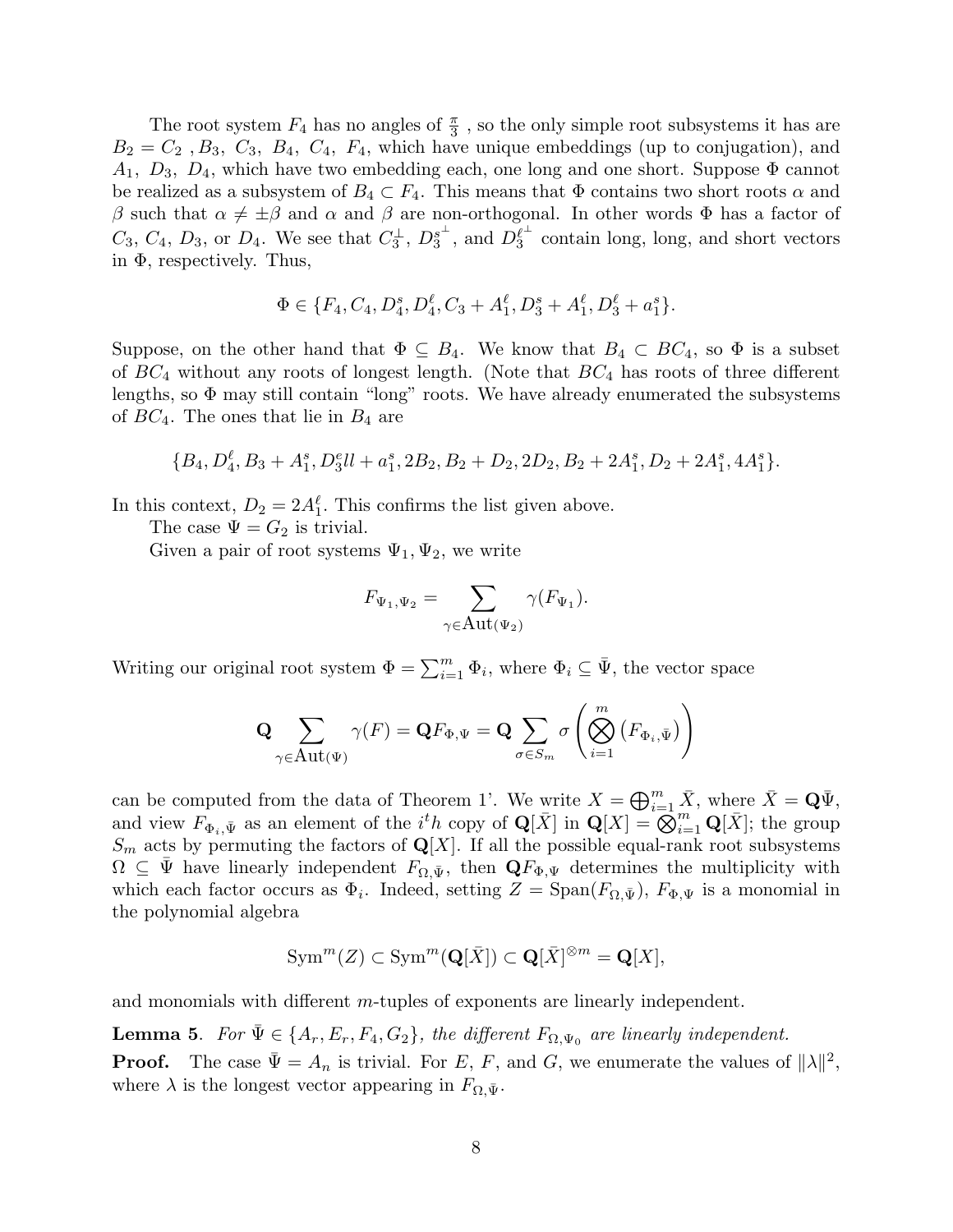The root system  $F_4$  has no angles of  $\frac{\pi}{3}$ , so the only simple root subsystems it has are  $B_2 = C_2$ ,  $B_3$ ,  $C_3$ ,  $B_4$ ,  $C_4$ ,  $F_4$ , which have unique embeddings (up to conjugation), and  $A_1, D_3, D_4$ , which have two embedding each, one long and one short. Suppose  $\Phi$  cannot be realized as a subsystem of  $B_4 \subset F_4$ . This means that  $\Phi$  contains two short roots  $\alpha$  and β such that  $\alpha \neq \pm \beta$  and  $\alpha$  and β are non-orthogonal. In other words Φ has a factor of  $C_3, C_4, D_3, \text{ or } D_4.$  We see that  $C_3^{\perp}, D_3^{s^{\perp}}$  $s^{\perp}_{3}$ , and  $D_{3}^{\ell^{\perp}}$  $\int_3^{\ell^+}$  contain long, long, and short vectors in  $\Phi$ , respectively. Thus,

$$
\Phi \in \{F_4, C_4, D_4^s, D_4^\ell, C_3 + A_1^\ell, D_3^s + A_1^\ell, D_3^\ell + a_1^s\}.
$$

Suppose, on the other hand that  $\Phi \subseteq B_4$ . We know that  $B_4 \subset BC_4$ , so  $\Phi$  is a subset of  $BC_4$  without any roots of longest length. (Note that  $BC_4$  has roots of three different lengths, so  $\Phi$  may still contain "long" roots. We have already enumerated the subsystems of  $BC_4$ . The ones that lie in  $B_4$  are

$$
{B_4, D_4^{\ell}, B_3 + A_1^s, D_3^{\ell}ll + a_1^s, 2B_2, B_2 + D_2, 2D_2, B_2 + 2A_1^s, D_2 + 2A_1^s, 4A_1^s}.
$$

In this context,  $D_2 = 2A_1^{\ell}$ . This confirms the list given above.

The case  $\Psi = G_2$  is trivial.

Given a pair of root systems  $\Psi_1, \Psi_2$ , we write

$$
F_{\Psi_1,\Psi_2} = \sum_{\gamma \in \text{Aut}(\Psi_2)} \gamma(F_{\Psi_1}).
$$

Writing our original root system  $\Phi = \sum_{i=1}^{m} \Phi_i$ , where  $\Phi_i \subseteq \bar{\Psi}$ , the vector space

$$
\mathbf{Q} \sum_{\gamma \in \text{Aut}(\Psi)} \gamma(F) = \mathbf{Q} F_{\Phi,\Psi} = \mathbf{Q} \sum_{\sigma \in S_m} \sigma \left( \bigotimes_{i=1}^m \left( F_{\Phi_i, \bar{\Psi}} \right) \right)
$$

can be computed from the data of Theorem 1'. We write  $X = \bigoplus_{i=1}^{m} \bar{X}$ , where  $\bar{X} = \mathbf{Q}\bar{\Psi}$ , and view  $F_{\Phi_i,\bar{\Psi}}$  as an element of the  $i^th$  copy of  $\mathbf{Q}[\bar{X}]$  in  $\mathbf{Q}[X] = \mathbf{\tilde{\otimes}}_{i=1}^{m} \mathbf{Q}[\bar{X}]$ ; the group  $S_m$  acts by permuting the factors of  $\mathbf{Q}[X]$ . If all the possible equal-rank root subsystems  $\Omega \subseteq \Psi$  have linearly independent  $F_{\Omega,\bar{\Psi}}$ , then  $\mathbf{Q}F_{\Phi,\Psi}$  determines the multiplicity with which each factor occurs as  $\Phi_i$ . Indeed, setting  $Z = \text{Span}(F_{\Omega,\bar{\Psi}})$ ,  $F_{\Phi,\Psi}$  is a monomial in the polynomial algebra

$$
\text{Sym}^m(Z) \subset \text{Sym}^m(\mathbf{Q}[\bar{X}]) \subset \mathbf{Q}[\bar{X}]^{\otimes m} = \mathbf{Q}[X],
$$

and monomials with different m-tuples of exponents are linearly independent.

**Lemma 5.** For  $\bar{\Psi} \in \{A_r, E_r, F_4, G_2\}$ , the different  $F_{\Omega, \Psi_0}$  are linearly independent. **Proof.** The case  $\bar{\Psi} = A_n$  is trivial. For E, F, and G, we enumerate the values of  $||\lambda||^2$ , where  $\lambda$  is the longest vector appearing in  $F_{\Omega,\bar{\Psi}}$ .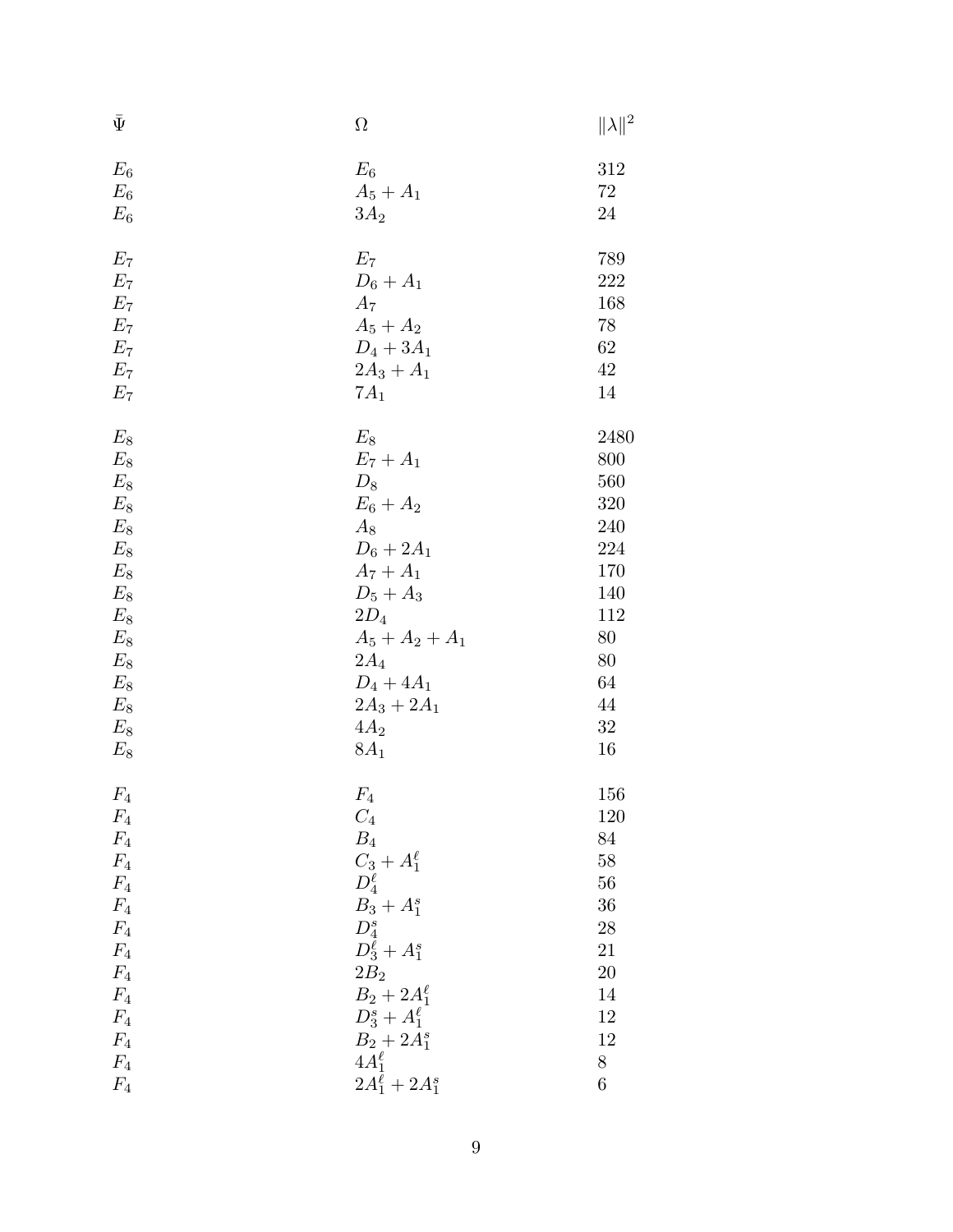| $\bar{\Psi}$     | $\Omega$                 | $\ \lambda\ ^2$ |
|------------------|--------------------------|-----------------|
| $E_6$            | $E_6$                    | 312             |
| $E_6$            | $A_5 + A_1$              | $72\,$          |
| $E_6$            | $3A_2$                   | 24              |
| $E_7$            | $E_7$                    | 789             |
| $E_7$            | $D_6 + A_1$              | 222             |
| $E_7$            | $A_7$                    | 168             |
| $E_7$            | $A_5 + A_2$              | 78              |
| $E_7$            | $D_4 + 3A_1$             | 62              |
| $E_7$            | $2A_3 + A_1$             | $42\,$          |
| $E_7$            | $7A_1$                   | 14              |
| $E_8$            | $E_8$                    | 2480            |
| $E_8$            | $E_7 + A_1$              | 800             |
| $E_8$            | $D_8$                    | 560             |
| $E_8$            | $E_6 + A_2$              | 320             |
| $E_8$            | $A_8$                    | 240             |
| $E_8$            | $D_6 + 2A_1$             | 224             |
| $E_8$            | $A_7 + A_1$              | 170             |
| $E_8$            | $D_5 + A_3$              | 140             |
| $E_8$            | $2D_4$                   | 112             |
| $E_8$            | $A_5 + A_2 + A_1$        | 80              |
| $E_8$            | $2A_4$                   | 80              |
| $E_8\,$          | $D_4 + 4A_1$             | 64<br>44        |
| $E_{8}$<br>$E_8$ | $2A_3 + 2A_1$<br>$4A_2$  | 32              |
| $E_8$            | $8A_1$                   | 16              |
|                  |                          |                 |
| $F_4$            | $F_4$                    | 156             |
| $F_4$            | $C_4$                    | 120             |
| $F_4$            | $\mathcal{B}_4$          | 84              |
| $F_4$            | $C_3 + A_1^{\ell}$       | $58\,$          |
| $F_4$            | $D_4^{\ell}$             | 56              |
| $F_4$            | $B_3 + A_1^s$            | 36              |
| $F_4$            | $D_4^s$                  | 28              |
| $F_4$            | $D_3^{\ell} + A_1^{s}$   | 21              |
| $F_4$            | $2B_2$                   | <b>20</b>       |
| $F_4$            | $B_2 + 2A_1^{\ell}$      | 14              |
| $F_4$            | $D_3^s + A_1^{\ell}$     | 12              |
| $F_4$            | $B_2 + 2A_1^s$           | 12              |
| $F_4$            | $4A_1^{\ell}$            | $8\,$           |
| $F_4$            | $2A_1^{\ell} + 2A_1^{s}$ | $\,6$           |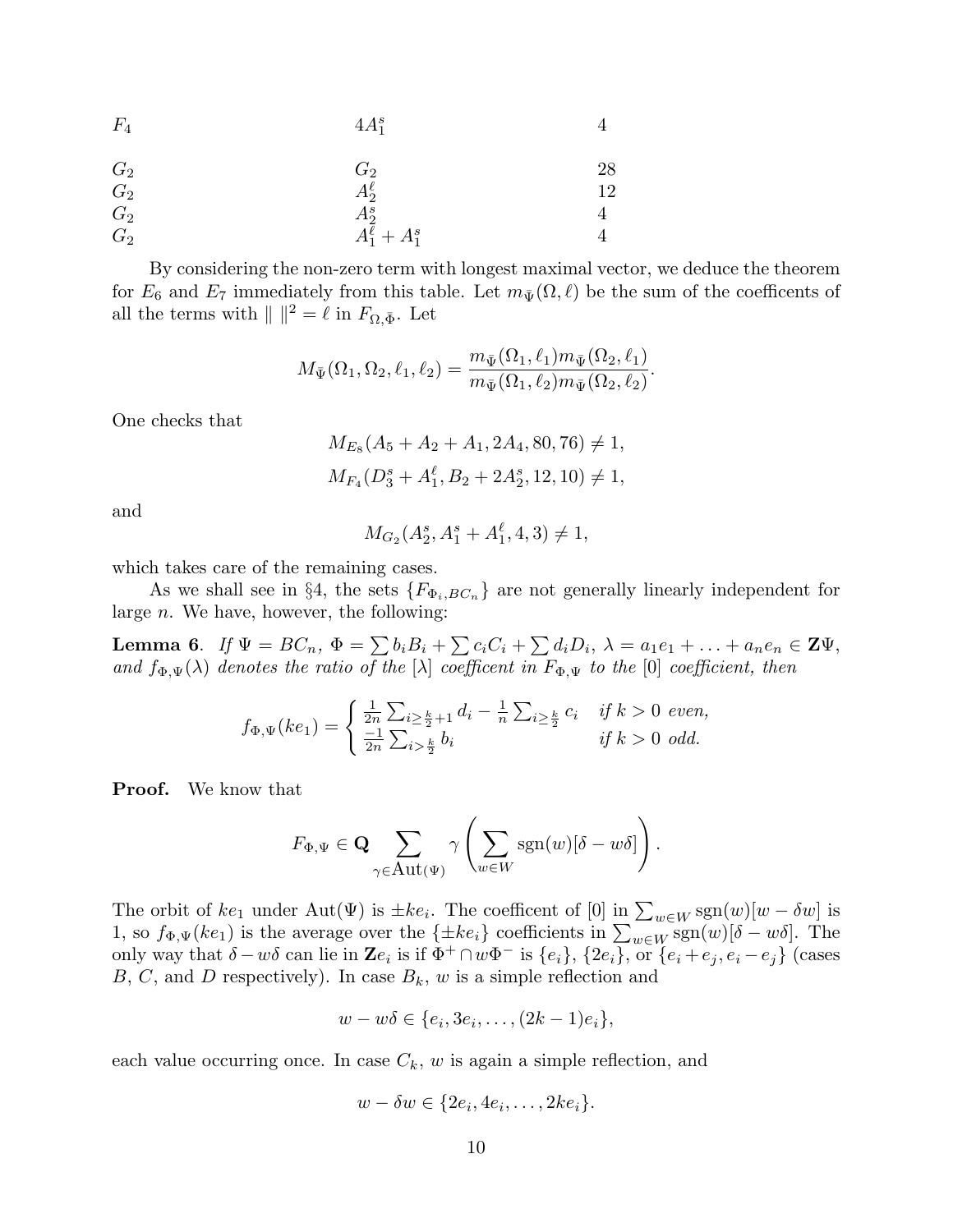| $F_4$ | $4A_1^s$                 |    |
|-------|--------------------------|----|
| $G_2$ | $G_2$                    | 28 |
| $G_2$ | $A_2^{\ell}$             | 12 |
| $G_2$ |                          | 4  |
| $G_2$ | $A_2^s$ $A_1^\ell+A_1^s$ |    |

By considering the non-zero term with longest maximal vector, we deduce the theorem for  $E_6$  and  $E_7$  immediately from this table. Let  $m_{\bar{\Psi}}(\Omega, \ell)$  be the sum of the coefficents of all the terms with  $|| \n||^2 = \ell$  in  $F_{\Omega, \bar{\Phi}}$ . Let

$$
M_{\bar{\Psi}}(\Omega_1, \Omega_2, \ell_1, \ell_2) = \frac{m_{\bar{\Psi}}(\Omega_1, \ell_1)m_{\bar{\Psi}}(\Omega_2, \ell_1)}{m_{\bar{\Psi}}(\Omega_1, \ell_2)m_{\bar{\Psi}}(\Omega_2, \ell_2)}.
$$

One checks that

$$
M_{E_8}(A_5 + A_2 + A_1, 2A_4, 80, 76) \neq 1,
$$
  

$$
M_{F_4}(D_3^s + A_1^{\ell}, B_2 + 2A_2^s, 12, 10) \neq 1,
$$

and

$$
M_{G_2}(A_2^s, A_1^s + A_1^{\ell}, 4, 3) \neq 1,
$$

which takes care of the remaining cases.

As we shall see in §4, the sets  ${F_{\Phi_i, BC_n}}$  are not generally linearly independent for large  $n$ . We have, however, the following:

**Lemma 6.** If  $\Psi = BC_n$ ,  $\Phi = \sum b_i B_i + \sum c_i C_i + \sum d_i D_i$ ,  $\lambda = a_1 e_1 + \ldots + a_n e_n \in \mathbf{Z} \Psi$ , and  $f_{\Phi,\Psi}(\lambda)$  denotes the ratio of the  $[\lambda]$  coefficent in  $F_{\Phi,\Psi}$  to the  $[0]$  coefficient, then

$$
f_{\Phi,\Psi}(ke_1) = \begin{cases} \frac{1}{2n} \sum_{i \geq \frac{k}{2}+1} d_i - \frac{1}{n} \sum_{i \geq \frac{k}{2}} c_i & \text{if } k > 0 \text{ even,} \\ \frac{-1}{2n} \sum_{i > \frac{k}{2}} b_i & \text{if } k > 0 \text{ odd.} \end{cases}
$$

Proof. We know that

$$
F_{\Phi,\Psi} \in \mathbf{Q} \sum_{\gamma \in \mathrm{Aut}(\Psi)} \gamma \left( \sum_{w \in W} \mathrm{sgn}(w) [\delta - w \delta] \right).
$$

The orbit of  $ke_1$  under  $\text{Aut}(\Psi)$  is  $\pm ke_i$ . The coefficent of [0] in  $\sum_{w\in W}\text{sgn}(w)[w-\delta w]$  is 1, so  $f_{\Phi,\Psi}(ke_1)$  is the average over the  $\{\pm ke_i\}$  coefficients in  $\sum_{w\in W}$  sgn $(w)[\delta - w\delta]$ . The only way that  $\delta - w\delta$  can lie in  $\mathbf{Z}e_i$  is if  $\Phi^+ \cap w\Phi^-$  is  $\{e_i\}$ ,  $\{2e_i\}$ , or  $\{e_i + e_j, e_i - e_j\}$  (cases  $B, C$ , and D respectively). In case  $B_k$ , w is a simple reflection and

$$
w - w\delta \in \{e_i, 3e_i, \ldots, (2k-1)e_i\},\
$$

each value occurring once. In case  $C_k$ , w is again a simple reflection, and

$$
w - \delta w \in \{2e_i, 4e_i, \dots, 2ke_i\}.
$$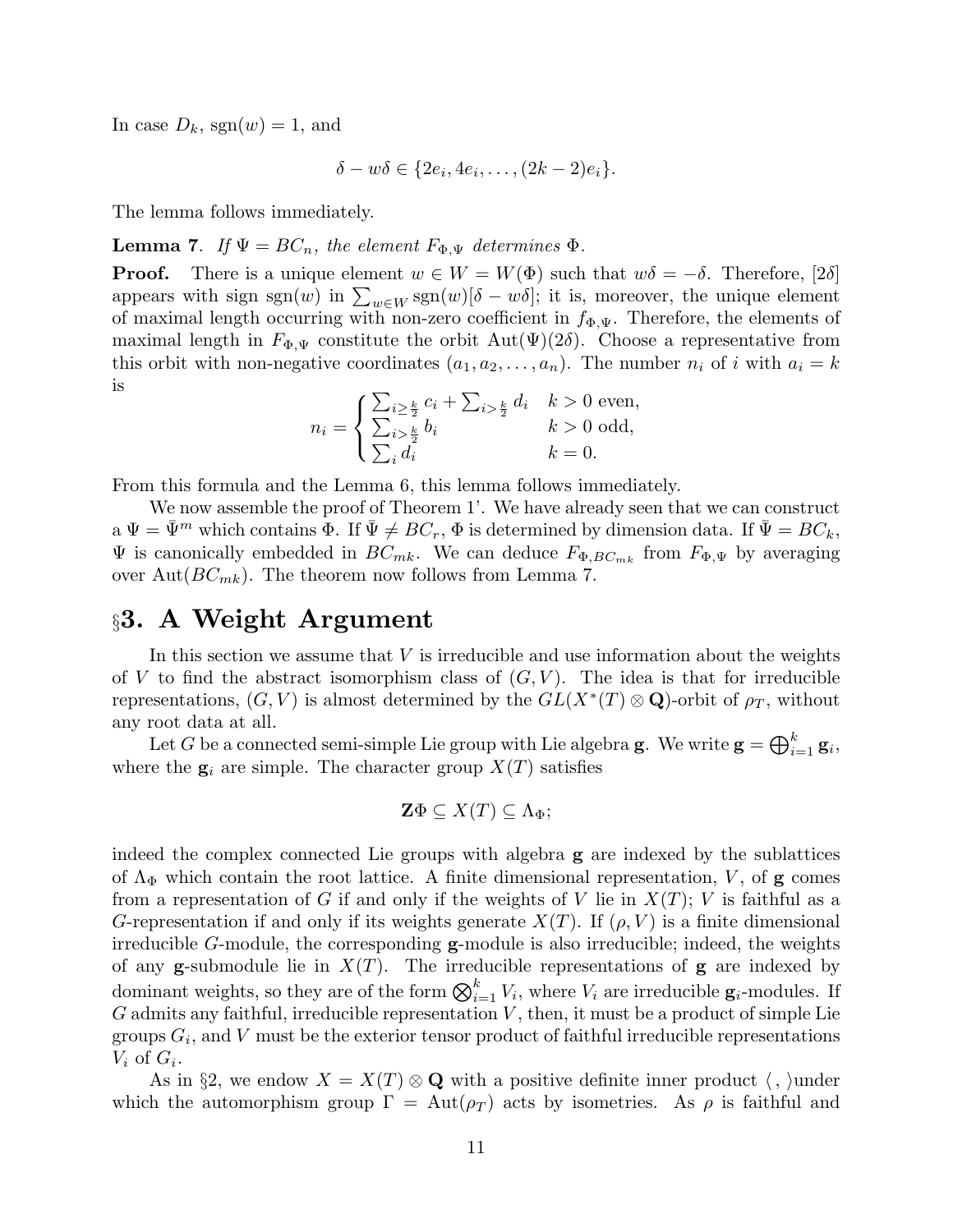In case  $D_k$ , sgn $(w) = 1$ , and

$$
\delta - w\delta \in \{2e_i, 4e_i, \dots, (2k-2)e_i\}.
$$

The lemma follows immediately.

**Lemma 7.** If  $\Psi = BC_n$ , the element  $F_{\Phi,\Psi}$  determines  $\Phi$ .

**Proof.** There is a unique element  $w \in W = W(\Phi)$  such that  $w\delta = -\delta$ . Therefore, [2 $\delta$ ] appears with sign sgn(w) in  $\sum_{w \in W}$  sgn(w)[ $\delta - w\delta$ ]; it is, moreover, the unique element of maximal length occurring with non-zero coefficient in  $f_{\Phi,\Psi}$ . Therefore, the elements of maximal length in  $F_{\Phi,\Psi}$  constitute the orbit Aut $(\Psi)(2\delta)$ . Choose a representative from this orbit with non-negative coordinates  $(a_1, a_2, \ldots, a_n)$ . The number  $n_i$  of i with  $a_i = k$ is

$$
n_{i} = \begin{cases} \sum_{i \geq \frac{k}{2}} c_{i} + \sum_{i > \frac{k}{2}} d_{i} & k > 0 \text{ even,} \\ \sum_{i > \frac{k}{2}} b_{i} & k > 0 \text{ odd,} \\ \sum_{i} d_{i} & k = 0. \end{cases}
$$

From this formula and the Lemma 6, this lemma follows immediately.

We now assemble the proof of Theorem 1'. We have already seen that we can construct  $a \Psi = \bar{\Psi}^m$  which contains  $\Phi$ . If  $\bar{\Psi} \neq BC_r$ ,  $\Phi$  is determined by dimension data. If  $\bar{\Psi} = BC_k$ ,  $\Psi$  is canonically embedded in  $BC_{mk}$ . We can deduce  $F_{\Phi,BC_{mk}}$  from  $F_{\Phi,\Psi}$  by averaging over Aut $(BC_{mk})$ . The theorem now follows from Lemma 7.

## §3. A Weight Argument

In this section we assume that  $V$  is irreducible and use information about the weights of V to find the abstract isomorphism class of  $(G, V)$ . The idea is that for irreducible representations,  $(G, V)$  is almost determined by the  $GL(X^*(T) \otimes \mathbf{Q})$ -orbit of  $\rho_T$ , without any root data at all.

Let G be a connected semi-simple Lie group with Lie algebra **g**. We write  $\mathbf{g} = \bigoplus_{i=1}^k \mathbf{g}_i$ , where the  $g_i$  are simple. The character group  $X(T)$  satisfies

$$
\mathbf{Z}\Phi\subseteq X(T)\subseteq\Lambda_{\Phi};
$$

indeed the complex connected Lie groups with algebra g are indexed by the sublattices of  $\Lambda_{\Phi}$  which contain the root lattice. A finite dimensional representation, V, of g comes from a representation of G if and only if the weights of V lie in  $X(T)$ ; V is faithful as a G-representation if and only if its weights generate  $X(T)$ . If  $(\rho, V)$  is a finite dimensional irreducible G-module, the corresponding  $g$ -module is also irreducible; indeed, the weights of any **g**-submodule lie in  $X(T)$ . The irreducible representations of **g** are indexed by dominant weights, so they are of the form  $\bigotimes_{i=1}^{k} V_i$ , where  $V_i$  are irreducible  $\mathbf{g}_i$ -modules. If  $G$  admits any faithful, irreducible representation  $V$ , then, it must be a product of simple Lie groups  $G_i$ , and V must be the exterior tensor product of faithful irreducible representations  $V_i$  of  $G_i$ .

As in §2, we endow  $X = X(T) \otimes \mathbf{Q}$  with a positive definite inner product  $\langle , \rangle$ under which the automorphism group  $\Gamma = \text{Aut}(\rho_T)$  acts by isometries. As  $\rho$  is faithful and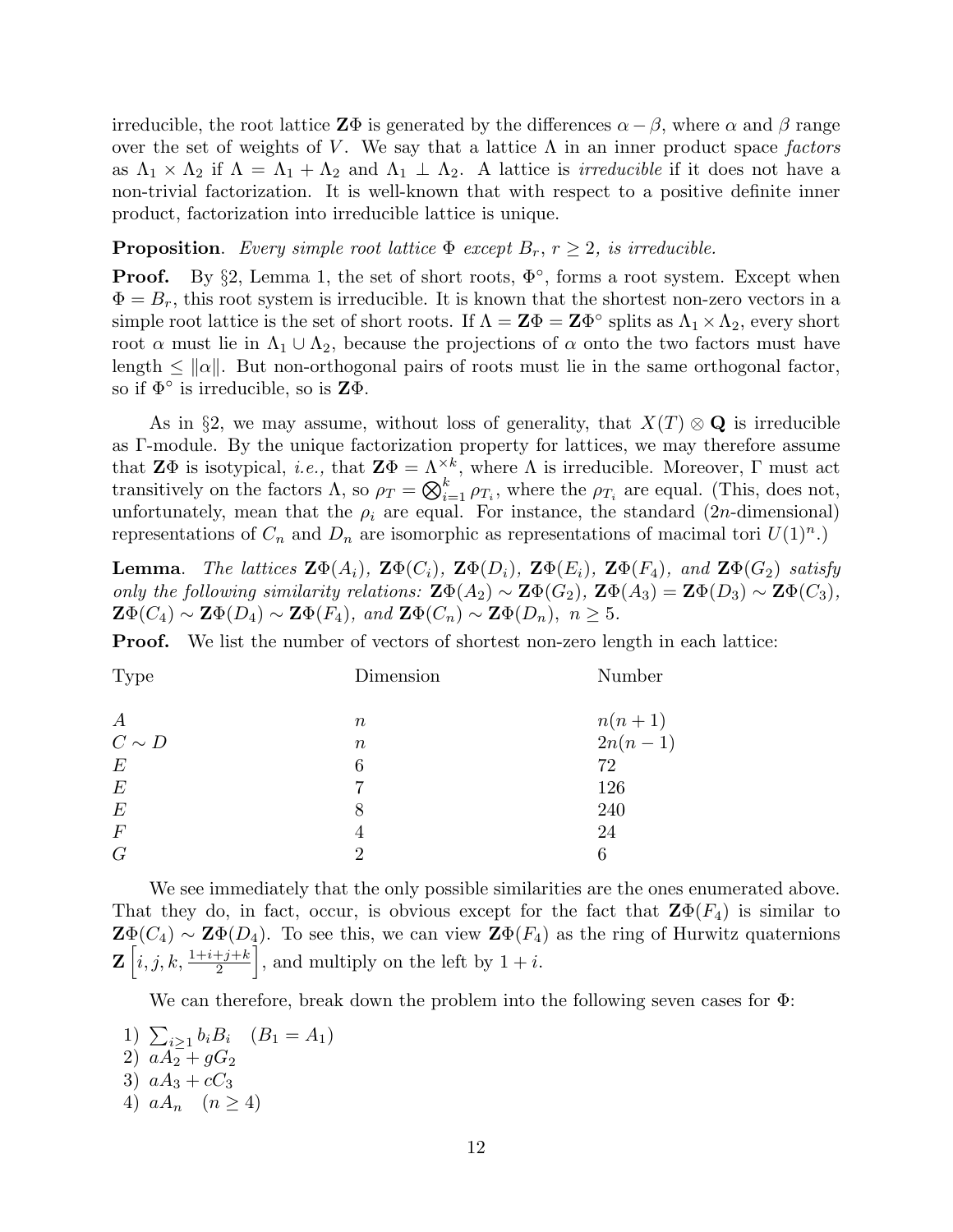irreducible, the root lattice  $\mathbf{Z}\Phi$  is generated by the differences  $\alpha - \beta$ , where  $\alpha$  and  $\beta$  range over the set of weights of V. We say that a lattice  $\Lambda$  in an inner product space factors as  $\Lambda_1 \times \Lambda_2$  if  $\Lambda = \Lambda_1 + \Lambda_2$  and  $\Lambda_1 \perp \Lambda_2$ . A lattice is *irreducible* if it does not have a non-trivial factorization. It is well-known that with respect to a positive definite inner product, factorization into irreducible lattice is unique.

**Proposition.** Every simple root lattice  $\Phi$  except  $B_r$ ,  $r \geq 2$ , is irreducible.

**Proof.** By  $\S$ 2, Lemma 1, the set of short roots,  $\Phi^{\circ}$ , forms a root system. Except when  $\Phi = B_r$ , this root system is irreducible. It is known that the shortest non-zero vectors in a simple root lattice is the set of short roots. If  $\Lambda = \mathbf{Z}\Phi = \mathbf{Z}\Phi^{\circ}$  splits as  $\Lambda_1 \times \Lambda_2$ , every short root  $\alpha$  must lie in  $\Lambda_1 \cup \Lambda_2$ , because the projections of  $\alpha$  onto the two factors must have length  $\leq \|\alpha\|$ . But non-orthogonal pairs of roots must lie in the same orthogonal factor, so if  $\Phi^{\circ}$  is irreducible, so is  $\mathbf{Z}\Phi$ .

As in §2, we may assume, without loss of generality, that  $X(T) \otimes \mathbf{Q}$  is irreducible as Γ-module. By the unique factorization property for lattices, we may therefore assume that  $\mathbf{Z}\Phi$  is isotypical, *i.e.*, that  $\mathbf{Z}\Phi = \Lambda^{\times k}$ , where  $\Lambda$  is irreducible. Moreover,  $\Gamma$  must act transitively on the factors  $\Lambda$ , so  $\rho_T = \bigotimes_{i=1}^k \rho_{T_i}$ , where the  $\rho_{T_i}$  are equal. (This, does not, unfortunately, mean that the  $\rho_i$  are equal. For instance, the standard (2n-dimensional) representations of  $C_n$  and  $D_n$  are isomorphic as representations of macimal tori  $U(1)^n$ .)

**Lemma.** The lattices  $\mathbf{Z}\Phi(A_i)$ ,  $\mathbf{Z}\Phi(C_i)$ ,  $\mathbf{Z}\Phi(D_i)$ ,  $\mathbf{Z}\Phi(E_i)$ ,  $\mathbf{Z}\Phi(F_4)$ , and  $\mathbf{Z}\Phi(G_2)$  satisfy only the following similarity relations:  $\mathbf{Z}\Phi(A_2) \sim \mathbf{Z}\Phi(G_2)$ ,  $\mathbf{Z}\Phi(A_3) = \mathbf{Z}\Phi(D_3) \sim \mathbf{Z}\Phi(C_3)$ ,  $\mathbf{Z}\Phi(C_4) \sim \mathbf{Z}\Phi(D_4) \sim \mathbf{Z}\Phi(F_4)$ , and  $\mathbf{Z}\Phi(C_n) \sim \mathbf{Z}\Phi(D_n)$ ,  $n \geq 5$ .

**Proof.** We list the number of vectors of shortest non-zero length in each lattice:

| <b>Type</b>      | Dimension | Number                   |
|------------------|-----------|--------------------------|
| $\boldsymbol{A}$ | $\, n$    |                          |
| $C\sim D$        | $\, n$    | $\frac{n(n+1)}{2n(n-1)}$ |
| $\,E$            | 6         | 72                       |
| $\,E$            | 7         | 126                      |
| $\,E$            | 8         | 240                      |
| $\,F$            | 4         | 24                       |
| $\mathcal G$     | റ         | 6                        |
|                  |           |                          |

We see immediately that the only possible similarities are the ones enumerated above. That they do, in fact, occur, is obvious except for the fact that  $\mathbf{Z}\Phi(F_4)$  is similar to  $\mathbf{Z}\Phi(C_4) \sim \mathbf{Z}\Phi(D_4)$ . To see this, we can view  $\mathbf{Z}\Phi(F_4)$  as the ring of Hurwitz quaternions  $\mathbf{Z}\left[ i,j,k,\frac{1+i+j+k}{2}\right]$ , and multiply on the left by  $1 + i$ .

We can therefore, break down the problem into the following seven cases for Φ:

1)  $\sum_{i\geq 1} b_i B_i$   $(B_1 = A_1)$ 2)  $aA_2 + gG_2$ 3)  $aA_3 + cC_3$ 4)  $aA_n$   $(n > 4)$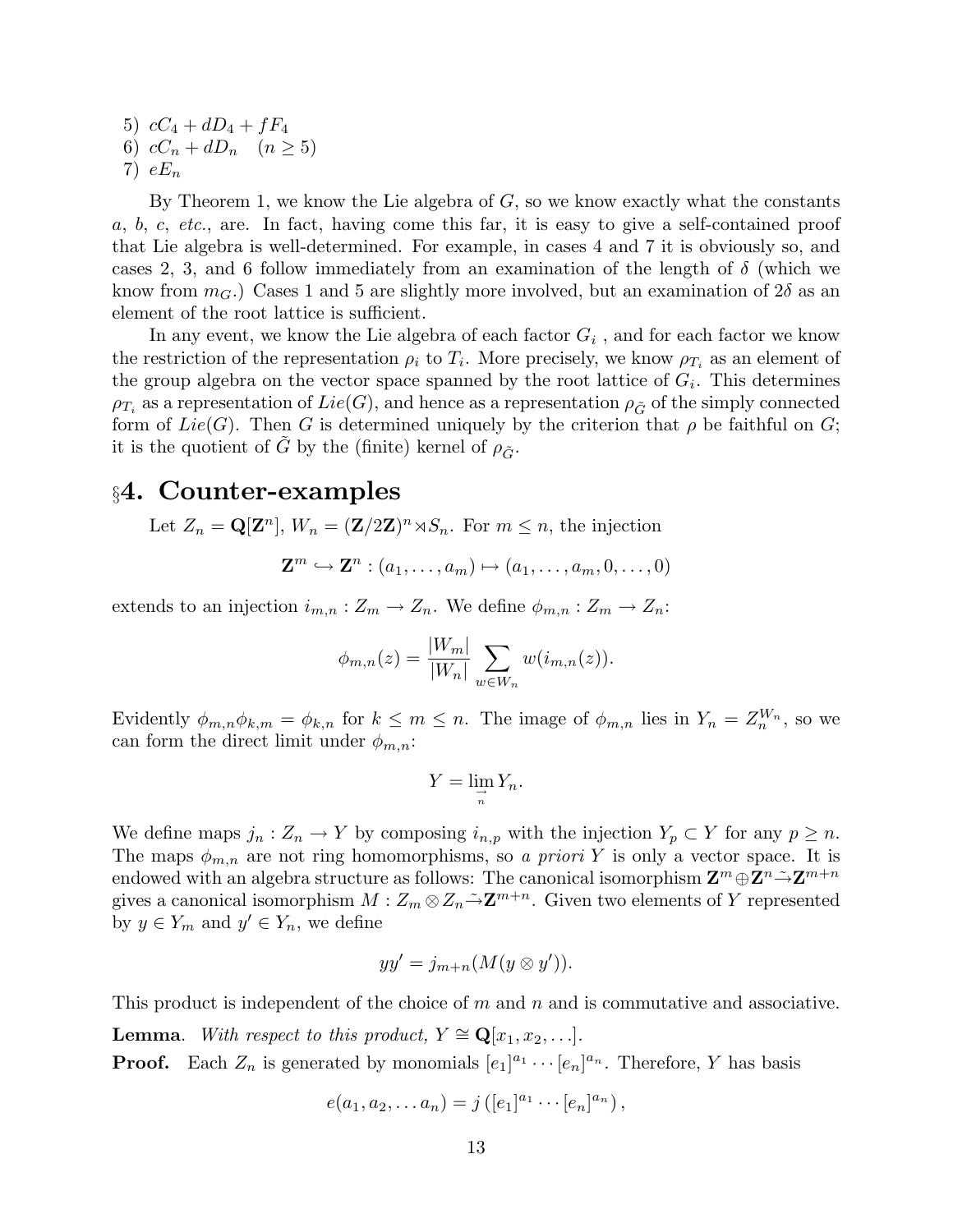5)  $cC_4 + dD_4 + fF_4$ 6)  $cC_n + dD_n \quad (n \geq 5)$ 7)  $eE_n$ 

By Theorem 1, we know the Lie algebra of  $G$ , so we know exactly what the constants a, b, c, etc., are. In fact, having come this far, it is easy to give a self-contained proof that Lie algebra is well-determined. For example, in cases 4 and 7 it is obviously so, and cases 2, 3, and 6 follow immediately from an examination of the length of  $\delta$  (which we know from  $m_G$ .) Cases 1 and 5 are slightly more involved, but an examination of  $2\delta$  as an element of the root lattice is sufficient.

In any event, we know the Lie algebra of each factor  $G_i$ , and for each factor we know the restriction of the representation  $\rho_i$  to  $T_i$ . More precisely, we know  $\rho_{T_i}$  as an element of the group algebra on the vector space spanned by the root lattice of  $G_i$ . This determines  $\rho_{T_i}$  as a representation of  $Lie(G)$ , and hence as a representation  $\rho_{\tilde{G}}$  of the simply connected form of  $Lie(G)$ . Then G is determined uniquely by the criterion that  $\rho$  be faithful on G; it is the quotient of G by the (finite) kernel of  $\rho_{\tilde{G}}$ .

#### §4. Counter-examples

Let  $Z_n = \mathbf{Q}[\mathbf{Z}^n], W_n = (\mathbf{Z}/2\mathbf{Z})^n \rtimes S_n$ . For  $m \leq n$ , the injection

$$
\mathbf{Z}^m \hookrightarrow \mathbf{Z}^n : (a_1, \dots, a_m) \mapsto (a_1, \dots, a_m, 0, \dots, 0)
$$

extends to an injection  $i_{m,n}: Z_m \to Z_n$ . We define  $\phi_{m,n}: Z_m \to Z_n$ :

$$
\phi_{m,n}(z) = \frac{|W_m|}{|W_n|} \sum_{w \in W_n} w(i_{m,n}(z)).
$$

Evidently  $\phi_{m,n}\phi_{k,m} = \phi_{k,n}$  for  $k \leq m \leq n$ . The image of  $\phi_{m,n}$  lies in  $Y_n = Z_n^{W_n}$ , so we can form the direct limit under  $\phi_{m,n}$ :

$$
Y=\lim_{\substack{\to \\ n}} Y_n.
$$

We define maps  $j_n: Z_n \to Y$  by composing  $i_{n,p}$  with the injection  $Y_p \subset Y$  for any  $p \geq n$ . The maps  $\phi_{m,n}$  are not ring homomorphisms, so a priori Y is only a vector space. It is endowed with an algebra structure as follows: The canonical isomorphism  $\mathbf{Z}^m \oplus \mathbf{Z}^n \tilde{\to} \mathbf{Z}^{m+n}$ gives a canonical isomorphism  $M: Z_m \otimes Z_n \tilde{\to} \mathbf{Z}^{m+n}$ . Given two elements of Y represented by  $y \in Y_m$  and  $y' \in Y_n$ , we define

$$
yy' = j_{m+n}(M(y \otimes y')).
$$

This product is independent of the choice of  $m$  and  $n$  and is commutative and associative.

**Lemma.** With respect to this product,  $Y \cong \mathbf{Q}[x_1, x_2, \ldots]$ .

**Proof.** Each  $Z_n$  is generated by monomials  $[e_1]^{a_1} \cdots [e_n]^{a_n}$ . Therefore, Y has basis

$$
e(a_1, a_2,... a_n) = j([e_1]^{a_1} \cdots [e_n]^{a_n}),
$$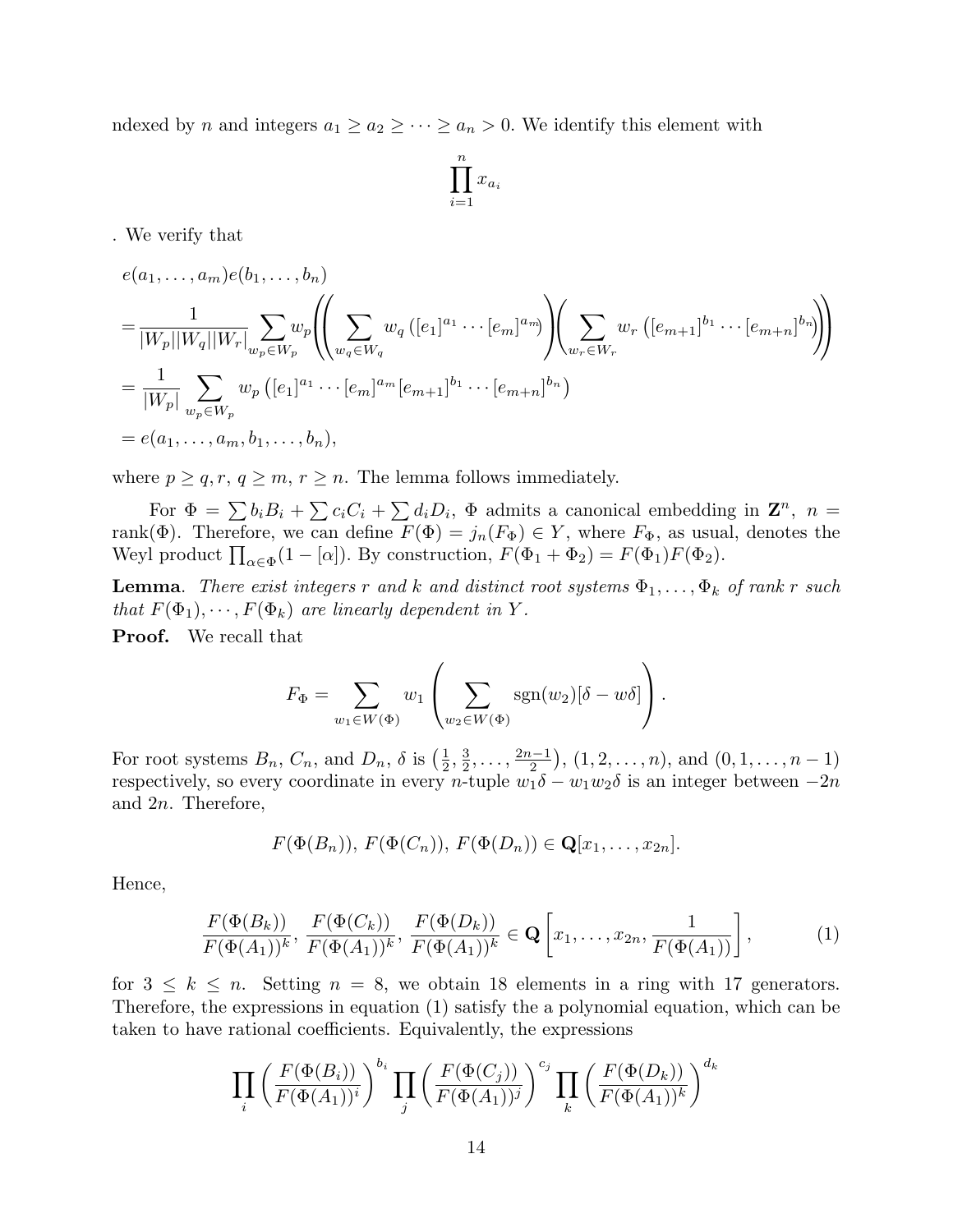ndexed by n and integers  $a_1 \ge a_2 \ge \cdots \ge a_n > 0$ . We identify this element with

$$
\prod_{i=1}^n x_{a_i}
$$

. We verify that

$$
e(a_1, ..., a_m)e(b_1, ..., b_n)
$$
  
=  $\frac{1}{|W_p||W_q||W_r|} \sum_{w_p \in W_p} w_p \left( \sum_{w_q \in W_q} w_q ([e_1]^{a_1} \cdots [e_m]^{a_m}) \right) \left( \sum_{w_r \in W_r} w_r ([e_{m+1}]^{b_1} \cdots [e_{m+n}]^{b_n}) \right)$   
=  $\frac{1}{|W_p|} \sum_{w_p \in W_p} w_p ([e_1]^{a_1} \cdots [e_m]^{a_m} [e_{m+1}]^{b_1} \cdots [e_{m+n}]^{b_n})$   
=  $e(a_1, ..., a_m, b_1, ..., b_n),$ 

where  $p \geq q, r, q \geq m, r \geq n$ . The lemma follows immediately.

For  $\Phi = \sum b_i B_i + \sum c_i C_i + \sum d_i D_i$ ,  $\Phi$  admits a canonical embedding in  $\mathbf{Z}^n$ ,  $n =$ rank( $\Phi$ ). Therefore, we can define  $F(\Phi) = j_n(F_{\Phi}) \in Y$ , where  $F_{\Phi}$ , as usual, denotes the Weyl product  $\prod_{\alpha \in \Phi} (1 - [\alpha])$ . By construction,  $F(\Phi_1 + \Phi_2) = F(\Phi_1)F(\Phi_2)$ .

**Lemma.** There exist integers r and k and distinct root systems  $\Phi_1, \ldots, \Phi_k$  of rank r such that  $F(\Phi_1), \cdots, F(\Phi_k)$  are linearly dependent in Y.

Proof. We recall that

$$
F_{\Phi} = \sum_{w_1 \in W(\Phi)} w_1 \left( \sum_{w_2 \in W(\Phi)} \text{sgn}(w_2) [\delta - w\delta] \right).
$$

For root systems  $B_n$ ,  $C_n$ , and  $D_n$ ,  $\delta$  is  $\left(\frac{1}{2}\right)$  $\frac{1}{2}$ ,  $\frac{3}{2}$  $\frac{3}{2}, \ldots, \frac{2n-1}{2}$  $\left( \frac{n-1}{2} \right)$ ,  $(1, 2, \ldots, n)$ , and  $(0, 1, \ldots, n-1)$ respectively, so every coordinate in every n-tuple  $w_1\delta - w_1w_2\delta$  is an integer between  $-2n$ and 2n. Therefore,

$$
F(\Phi(B_n)), F(\Phi(C_n)), F(\Phi(D_n)) \in \mathbf{Q}[x_1,\ldots,x_{2n}].
$$

Hence,

$$
\frac{F(\Phi(B_k))}{F(\Phi(A_1))^k}, \frac{F(\Phi(C_k))}{F(\Phi(A_1))^k}, \frac{F(\Phi(D_k))}{F(\Phi(A_1))^k} \in \mathbf{Q}\left[x_1, \ldots, x_{2n}, \frac{1}{F(\Phi(A_1))}\right],
$$
\n(1)

for  $3 \leq k \leq n$ . Setting  $n = 8$ , we obtain 18 elements in a ring with 17 generators. Therefore, the expressions in equation (1) satisfy the a polynomial equation, which can be taken to have rational coefficients. Equivalently, the expressions

$$
\prod_{i} \left( \frac{F(\Phi(B_i))}{F(\Phi(A_1))^i} \right)^{b_i} \prod_{j} \left( \frac{F(\Phi(C_j))}{F(\Phi(A_1))^j} \right)^{c_j} \prod_{k} \left( \frac{F(\Phi(D_k))}{F(\Phi(A_1))^k} \right)^{d_k}
$$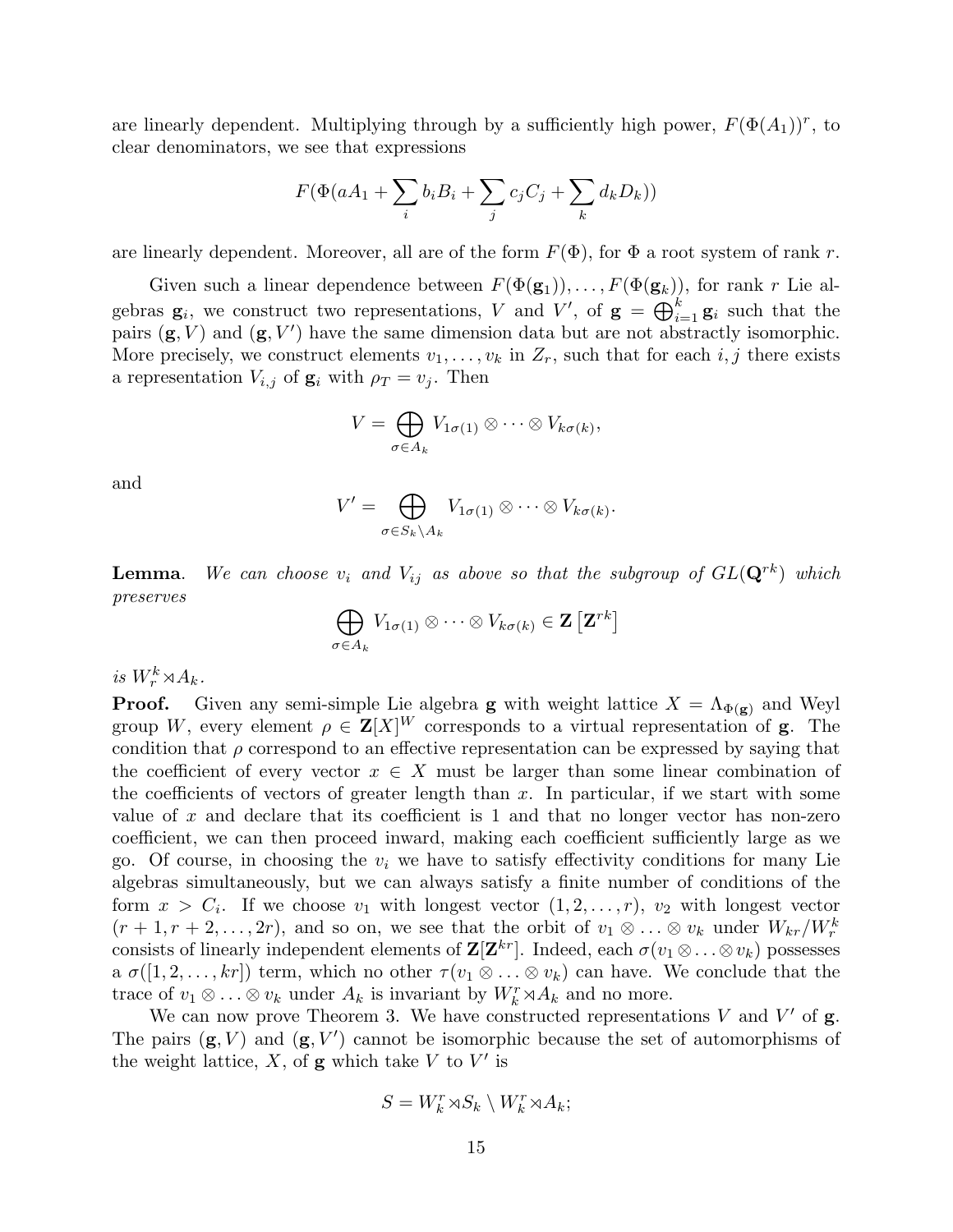are linearly dependent. Multiplying through by a sufficiently high power,  $F(\Phi(A_1))^r$ , to clear denominators, we see that expressions

$$
F(\Phi(aA_1 + \sum_i b_i B_i + \sum_j c_j C_j + \sum_k d_k D_k))
$$

are linearly dependent. Moreover, all are of the form  $F(\Phi)$ , for  $\Phi$  a root system of rank r.

Given such a linear dependence between  $F(\Phi(\mathbf{g}_1)), \ldots, F(\Phi(\mathbf{g}_k))$ , for rank r Lie algebras  $\mathbf{g}_i$ , we construct two representations, V and V', of  $\mathbf{g} = \bigoplus_{i=1}^k \mathbf{g}_i$  such that the pairs  $(\mathbf{g}, V)$  and  $(\mathbf{g}, V')$  have the same dimension data but are not abstractly isomorphic. More precisely, we construct elements  $v_1, \ldots, v_k$  in  $Z_r$ , such that for each  $i, j$  there exists a representation  $V_{i,j}$  of  $\mathbf{g}_i$  with  $\rho_T = v_j$ . Then

$$
V = \bigoplus_{\sigma \in A_k} V_{1\sigma(1)} \otimes \cdots \otimes V_{k\sigma(k)},
$$

and

$$
V' = \bigoplus_{\sigma \in S_k \setminus A_k} V_{1\sigma(1)} \otimes \cdots \otimes V_{k\sigma(k)}.
$$

**Lemma.** We can choose  $v_i$  and  $V_{ij}$  as above so that the subgroup of  $GL(\mathbf{Q}^{rk})$  which preserves

$$
\bigoplus_{\sigma\in A_k} V_{1\sigma(1)}\otimes\cdots\otimes V_{k\sigma(k)}\in \mathbf{Z}\left[\mathbf{Z}^{rk}\right]
$$

is  $W_r^k \rtimes A_k$ .

**Proof.** Given any semi-simple Lie algebra **g** with weight lattice  $X = \Lambda_{\Phi(\mathbf{g})}$  and Weyl group W, every element  $\rho \in \mathbf{Z}[X]^W$  corresponds to a virtual representation of **g**. The condition that  $\rho$  correspond to an effective representation can be expressed by saying that the coefficient of every vector  $x \in X$  must be larger than some linear combination of the coefficients of vectors of greater length than  $x$ . In particular, if we start with some value of x and declare that its coefficient is 1 and that no longer vector has non-zero coefficient, we can then proceed inward, making each coefficient sufficiently large as we go. Of course, in choosing the  $v_i$  we have to satisfy effectivity conditions for many Lie algebras simultaneously, but we can always satisfy a finite number of conditions of the form  $x > C_i$ . If we choose  $v_1$  with longest vector  $(1, 2, \ldots, r)$ ,  $v_2$  with longest vector  $(r+1, r+2, \ldots, 2r)$ , and so on, we see that the orbit of  $v_1 \otimes \ldots \otimes v_k$  under  $W_{kr}/W_r^k$ consists of linearly independent elements of  $\mathbf{Z}[\mathbf{Z}^{kr}]$ . Indeed, each  $\sigma(v_1 \otimes \ldots \otimes v_k)$  possesses a  $\sigma([1, 2, \ldots, kr])$  term, which no other  $\tau(v_1 \otimes \ldots \otimes v_k)$  can have. We conclude that the trace of  $v_1 \otimes \ldots \otimes v_k$  under  $A_k$  is invariant by  $W_k^r \rtimes A_k$  and no more.

We can now prove Theorem 3. We have constructed representations  $V$  and  $V'$  of  $g$ . The pairs  $(g, V)$  and  $(g, V')$  cannot be isomorphic because the set of automorphisms of the weight lattice,  $X$ , of **g** which take  $V$  to  $V'$  is

$$
S = W_k^r \rtimes S_k \setminus W_k^r \rtimes A_k;
$$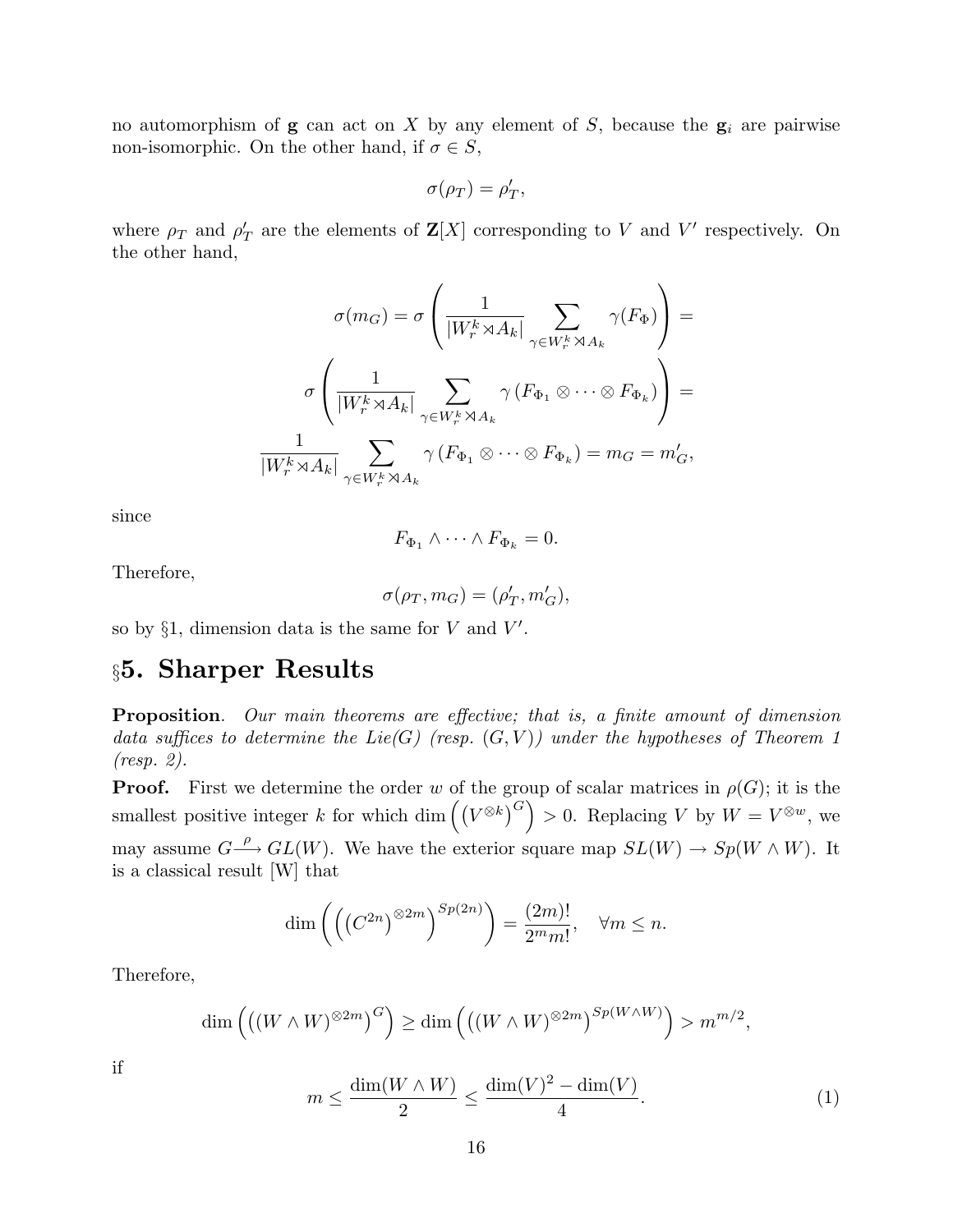no automorphism of  $g$  can act on X by any element of S, because the  $g_i$  are pairwise non-isomorphic. On the other hand, if  $\sigma \in S$ ,

$$
\sigma(\rho_T) = \rho'_T,
$$

where  $\rho_T$  and  $\rho'_T$  are the elements of  $\mathbf{Z}[X]$  corresponding to V and V' respectively. On the other hand,

$$
\sigma(m_G) = \sigma \left( \frac{1}{|W_r^k \rtimes A_k|} \sum_{\gamma \in W_r^k \rtimes A_k} \gamma(F_{\Phi}) \right) =
$$

$$
\sigma \left( \frac{1}{|W_r^k \rtimes A_k|} \sum_{\gamma \in W_r^k \rtimes A_k} \gamma(F_{\Phi_1} \otimes \cdots \otimes F_{\Phi_k}) \right) =
$$

$$
\frac{1}{|W_r^k \rtimes A_k|} \sum_{\gamma \in W_r^k \rtimes A_k} \gamma(F_{\Phi_1} \otimes \cdots \otimes F_{\Phi_k}) = m_G = m'_G,
$$

since

$$
F_{\Phi_1} \wedge \cdots \wedge F_{\Phi_k} = 0.
$$

Therefore,

$$
\sigma(\rho_T, m_G) = (\rho'_T, m'_G),
$$

so by  $\S1$ , dimension data is the same for V and V'.

## §5. Sharper Results

Proposition. Our main theorems are effective; that is, a finite amount of dimension data suffices to determine the Lie(G) (resp.  $(G, V)$ ) under the hypotheses of Theorem 1 (resp. 2).

**Proof.** First we determine the order w of the group of scalar matrices in  $\rho(G)$ ; it is the smallest positive integer k for which dim  $((V^{\otimes k})^G) > 0$ . Replacing V by  $W = V^{\otimes w}$ , we may assume  $G \longrightarrow GL(W)$ . We have the exterior square map  $SL(W) \longrightarrow Sp(W \wedge W)$ . It is a classical result [W] that

$$
\dim\left(\left(\left(C^{2n}\right)^{\otimes 2m}\right)^{Sp(2n)}\right) = \frac{(2m)!}{2^m m!}, \quad \forall m \le n.
$$

Therefore,

$$
\dim\left(\left((W\wedge W)^{\otimes 2m}\right)^G\right)\geq \dim\left(\left((W\wedge W)^{\otimes 2m}\right)^{Sp(W\wedge W)}\right)>m^{m/2},
$$

if

$$
m \le \frac{\dim(W \wedge W)}{2} \le \frac{\dim(V)^2 - \dim(V)}{4}.\tag{1}
$$